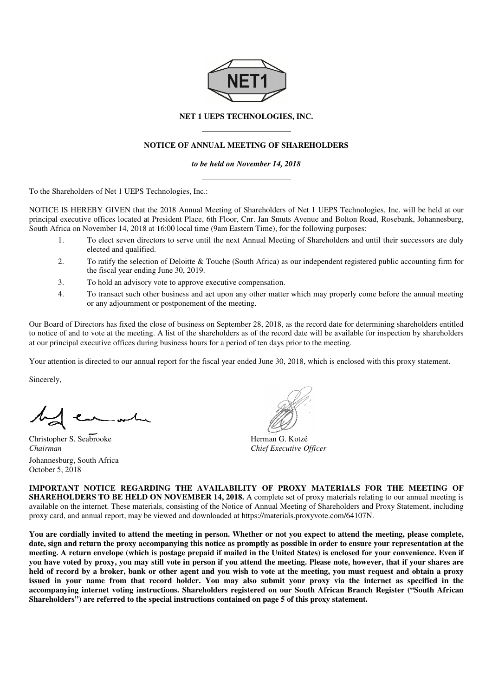

## **NET 1 UEPS TECHNOLOGIES, INC.**

## **NOTICE OF ANNUAL MEETING OF SHAREHOLDERS**

*to be held on November 14, 2018* 

To the Shareholders of Net 1 UEPS Technologies, Inc.:

NOTICE IS HEREBY GIVEN that the 2018 8 Annual Meeting of Shareholders of Net 1 UEPS Technologies, Inc. will be held at our NOTICE IS HEREBY GIVEN that the 2018 Annual Meeting of Shareholders of Net 1 UEPS Technologies, Inc. will be held at our<br>principal executive offices located at President Place, 6th Floor, Cnr. Jan Smuts Avenue and Bolton R South Africa on November 14, 2018 at 16:00 local time (9am Eastern Time), for the following purposes:

- 1. To elect seven directors to serve until the next Annual Meeting of Shareholders and until their successors are duly elected and qualified. 1. To elect seven directors to serve until the next Annual Meeting of Shareholders and until their successors are duly elected and qualified.<br>2. To ratify the selection of Deloitte & Touche (South Africa) as our independen
- the fiscal year ending June 30, 201 2019. To elect seven directors to serve until the next Annual Meeting of Shareholders and until their successors are duly<br>elected and qualified.<br>2. To ratify the selection of Deloitte & Touche (South Africa) as our independent r
- 3. To hold an advisory vote to approve executive compensation.
- or any adjournment or postponement of the meeting. 4. To transact such other business and act upon any other matter which may properly come before the annual meeting or any adjournment or postponement of the meeting.<br>Our Board of Directors has fixed the close of business o

to notice of and to vote at the meeting. A list of the shareholders as of the record date will be available for inspection by shareholders at our principal executive offices during business hours for a period of ten days prior to the meeting.

at our principal executive offices during business hours for a period of ten days prior to the meeting.<br>Your attention is directed to our annual report for the fiscal year ended June 30, 2018, which is enclosed with this p

Sincerely,

Christopher S. Seabrooke *Chairman*  Johannesburg, South Africa October 5, 2018

Herman G. Kotzé *Chief Executive Officer*

**IMPORTANT NOTICE REGARDING THE AVAILABILITY OF PROXY MATERIALS FOR THE MEETING OF IMPORTANT NOTICE REGARDING THE AVAILABILITY OF PROXY MATERIALS FOR THE MEETING OF SHAREHOLDERS TO BE HELD ON NOVEMBER 14, 2018. A complete set of proxy materials relating to our annual meeting is** available on the internet. These materials, consisting of the Notice of Annual Meeting of Shareholders and Proxy Statement, including proxy card, and annual report, may be viewed and downloaded at https://materials.proxyvote.com/64107N , for available , complete Annual 64107N.

You are cordially invited to attend the meeting in person. Whether or not you expect to attend the meeting, please complete, You are cordially invited to attend the meeting in person. Whether or not you expect to attend the meeting, please complete,<br>date, sign and return the proxy accompanying this notice as promptly as possible in order to ensu meeting. A return envelope (which is postage prepaid if mailed in the United States) is enclosed for your convenience. Even if meeting. A return envelope (which is postage prepaid if mailed in the United States) is enclosed for your convenience. Even if<br>you have voted by proxy, you may still vote in person if you attend the meeting. Please note, h held of record by a broker, bank or other agent and you wish to vote at the meeting, you must request and obtain a proxy **issued in your name from that record holder. You may also submit your proxy via the internet as specified in the accompanying internet voting instructions. Shareholders registered on our South African Branch Register (" Shareholders") are referred to the special instructions contained on page**  record holder. You may also submit your proxy via the incructions. Shareholders registered on our South African Branc<br>special instructions contained on page 5 of this proxy statement. **("South African**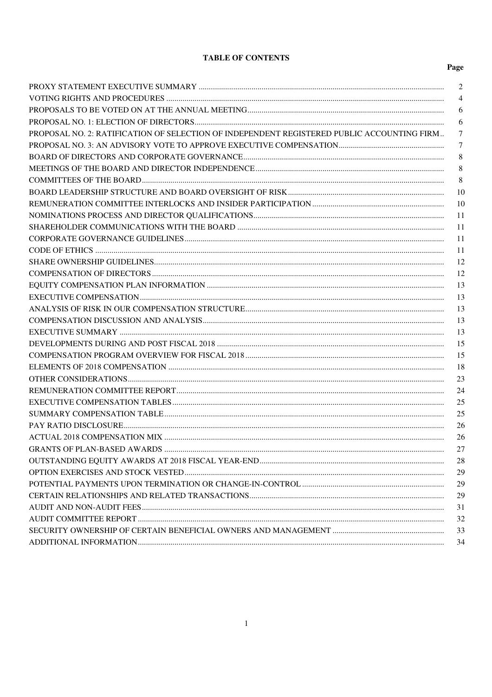# **TABLE OF CONTENTS**

| 2                                                                                               |
|-------------------------------------------------------------------------------------------------|
| 4                                                                                               |
| 6                                                                                               |
| 6                                                                                               |
| PROPOSAL NO. 2: RATIFICATION OF SELECTION OF INDEPENDENT REGISTERED PUBLIC ACCOUNTING FIRM<br>7 |
| $\tau$                                                                                          |
| 8                                                                                               |
| 8                                                                                               |
| 8                                                                                               |
| 10                                                                                              |
| 10                                                                                              |
| 11                                                                                              |
| 11                                                                                              |
| 11                                                                                              |
| 11                                                                                              |
| 12                                                                                              |
| 12                                                                                              |
| 13                                                                                              |
| 13                                                                                              |
| 13                                                                                              |
| 13                                                                                              |
| 13                                                                                              |
| 15                                                                                              |
| 15                                                                                              |
| 18                                                                                              |
| 23                                                                                              |
| 24                                                                                              |
| 25                                                                                              |
| 25                                                                                              |
| 26                                                                                              |
| 26                                                                                              |
| 27                                                                                              |
| 28                                                                                              |
| 29                                                                                              |
| 29                                                                                              |
| 29                                                                                              |
| 31                                                                                              |
| 32                                                                                              |
| 33                                                                                              |
| 34                                                                                              |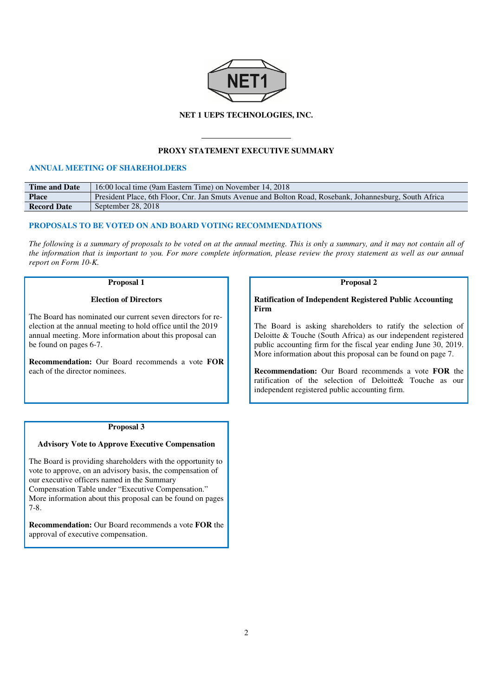

### **NET 1 UEPS TECHNOLOGIES, INC.**

## **PROXY STATEMENT EXECUTIVE SUMMARY**

# **ANNUAL MEETING OF SHAREHOLDERS**

| <b>Time and Date</b> | 16:00 local time (9am Eastern Time) on November 14, 2018                                                |
|----------------------|---------------------------------------------------------------------------------------------------------|
| <b>Place</b>         | President Place, 6th Floor, Cnr. Jan Smuts Avenue and Bolton Road, Rosebank, Johannesburg, South Africa |
| <b>Record Date</b>   | September 28, 2018                                                                                      |

# **PROPOSALS TO BE VOTED ON AND BOARD VOTING RECOMMENDATIONS**

*The following is a summary of proposals to be voted on at the annual meeting. This is only a summary, and it may not contain all of the information that is important to you. For more complete information, please review the proxy statement as well as our annual report on Form 10-K.* 

### **Proposal 1**

#### **Election of Directors**

The Board has nominated our current seven directors for reelection at the annual meeting to hold office until the 2019 annual meeting. More information about this proposal can be found on pages 6-7.

**Recommendation:** Our Board recommends a vote **FOR**  each of the director nominees.

### **Proposal 2**

**Ratification of Independent Registered Public Accounting Firm** 

The Board is asking shareholders to ratify the selection of Deloitte & Touche (South Africa) as our independent registered public accounting firm for the fiscal year ending June 30, 2019. More information about this proposal can be found on page 7.

**Recommendation:** Our Board recommends a vote **FOR** the ratification of the selection of Deloitte& Touche as our independent registered public accounting firm.

### **Proposal 3**

### **Advisory Vote to Approve Executive Compensation**

The Board is providing shareholders with the opportunity to vote to approve, on an advisory basis, the compensation of our executive officers named in the Summary Compensation Table under "Executive Compensation." More information about this proposal can be found on pages 7-8.

**Recommendation:** Our Board recommends a vote **FOR** the approval of executive compensation.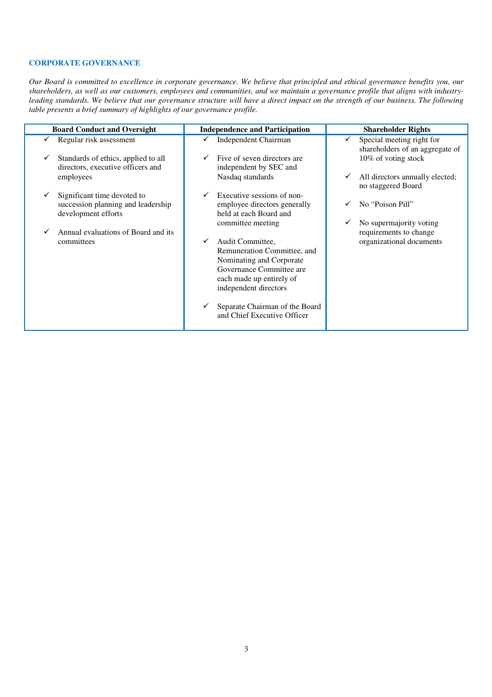# **CORPORATE GOVERNANCE**

*Our Board is committed to excellence in corporate governance. We believe that principled and ethical governance benefits you, our shareholders, as well as our customers, employees and communities, and we maintain a governance profile that aligns with industryleading standards. We believe that our governance structure will have a direct impact on the strength of our business. The following table presents a brief summary of highlights of our governance profile.* 

| <b>Board Conduct and Oversight</b>                                       | <b>Independence and Participation</b>                 | <b>Shareholder Rights</b>                                    |
|--------------------------------------------------------------------------|-------------------------------------------------------|--------------------------------------------------------------|
| Regular risk assessment                                                  | Independent Chairman                                  | Special meeting right for<br>shareholders of an aggregate of |
| Standards of ethics, applied to all<br>directors, executive officers and | Five of seven directors are<br>independent by SEC and | 10% of voting stock                                          |
| employees                                                                | Nasdaq standards                                      | All directors annually elected;<br>v<br>no staggered Board   |
| Significant time devoted to                                              | Executive sessions of non-                            |                                                              |
| succession planning and leadership                                       | employee directors generally                          | No "Poison Pill"                                             |
| development efforts                                                      | held at each Board and                                |                                                              |
|                                                                          | committee meeting                                     | No supermajority voting                                      |
| Annual evaluations of Board and its                                      |                                                       | requirements to change                                       |
| committees                                                               | Audit Committee,                                      | organizational documents                                     |
|                                                                          | Remuneration Committee, and                           |                                                              |
|                                                                          | Nominating and Corporate                              |                                                              |
|                                                                          | Governance Committee are                              |                                                              |
|                                                                          | each made up entirely of                              |                                                              |
|                                                                          | independent directors                                 |                                                              |
|                                                                          |                                                       |                                                              |
|                                                                          | Separate Chairman of the Board                        |                                                              |
|                                                                          | and Chief Executive Officer                           |                                                              |
|                                                                          |                                                       |                                                              |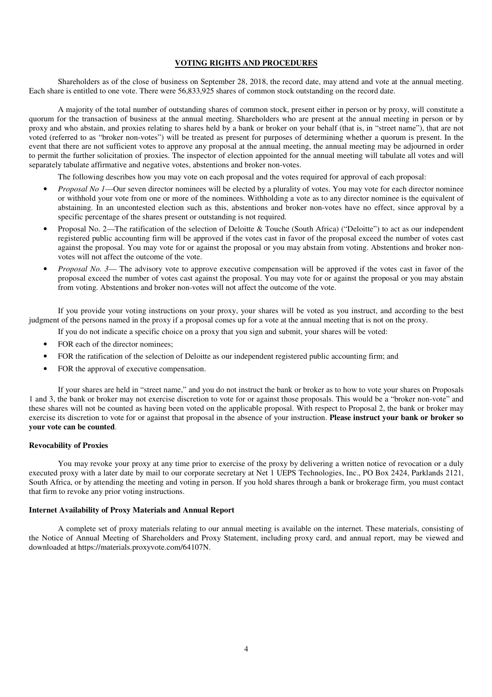### **VOTING RIGHTS AND PROCEDURES**

Shareholders as of the close of business on September 28, 2018, the record date, may attend and vote at the annual meeting. Each share is entitled to one vote. There were 56,833,925 shares of common stock outstanding on the record date.

A majority of the total number of outstanding shares of common stock, present either in person or by proxy, will constitute a quorum for the transaction of business at the annual meeting. Shareholders who are present at the annual meeting in person or by proxy and who abstain, and proxies relating to shares held by a bank or broker on your behalf (that is, in "street name"), that are not voted (referred to as "broker non-votes") will be treated as present for purposes of determining whether a quorum is present. In the event that there are not sufficient votes to approve any proposal at the annual meeting, the annual meeting may be adjourned in order to permit the further solicitation of proxies. The inspector of election appointed for the annual meeting will tabulate all votes and will separately tabulate affirmative and negative votes, abstentions and broker non-votes.

The following describes how you may vote on each proposal and the votes required for approval of each proposal:

- *Proposal No 1*—Our seven director nominees will be elected by a plurality of votes. You may vote for each director nominee or withhold your vote from one or more of the nominees. Withholding a vote as to any director nominee is the equivalent of abstaining. In an uncontested election such as this, abstentions and broker non-votes have no effect, since approval by a specific percentage of the shares present or outstanding is not required.
- Proposal No. 2—The ratification of the selection of Deloitte & Touche (South Africa) ("Deloitte") to act as our independent registered public accounting firm will be approved if the votes cast in favor of the proposal exceed the number of votes cast against the proposal. You may vote for or against the proposal or you may abstain from voting. Abstentions and broker nonvotes will not affect the outcome of the vote.
- *Proposal No. 3* The advisory vote to approve executive compensation will be approved if the votes cast in favor of the proposal exceed the number of votes cast against the proposal. You may vote for or against the proposal or you may abstain from voting. Abstentions and broker non-votes will not affect the outcome of the vote.

If you provide your voting instructions on your proxy, your shares will be voted as you instruct, and according to the best judgment of the persons named in the proxy if a proposal comes up for a vote at the annual meeting that is not on the proxy.

- If you do not indicate a specific choice on a proxy that you sign and submit, your shares will be voted:
- FOR each of the director nominees;
- FOR the ratification of the selection of Deloitte as our independent registered public accounting firm; and
- FOR the approval of executive compensation.

If your shares are held in "street name," and you do not instruct the bank or broker as to how to vote your shares on Proposals 1 and 3, the bank or broker may not exercise discretion to vote for or against those proposals. This would be a "broker non-vote" and these shares will not be counted as having been voted on the applicable proposal. With respect to Proposal 2, the bank or broker may exercise its discretion to vote for or against that proposal in the absence of your instruction. **Please instruct your bank or broker so your vote can be counted**.

### **Revocability of Proxies**

You may revoke your proxy at any time prior to exercise of the proxy by delivering a written notice of revocation or a duly executed proxy with a later date by mail to our corporate secretary at Net 1 UEPS Technologies, Inc., PO Box 2424, Parklands 2121, South Africa, or by attending the meeting and voting in person. If you hold shares through a bank or brokerage firm, you must contact that firm to revoke any prior voting instructions.

### **Internet Availability of Proxy Materials and Annual Report**

A complete set of proxy materials relating to our annual meeting is available on the internet. These materials, consisting of the Notice of Annual Meeting of Shareholders and Proxy Statement, including proxy card, and annual report, may be viewed and downloaded at https://materials.proxyvote.com/64107N.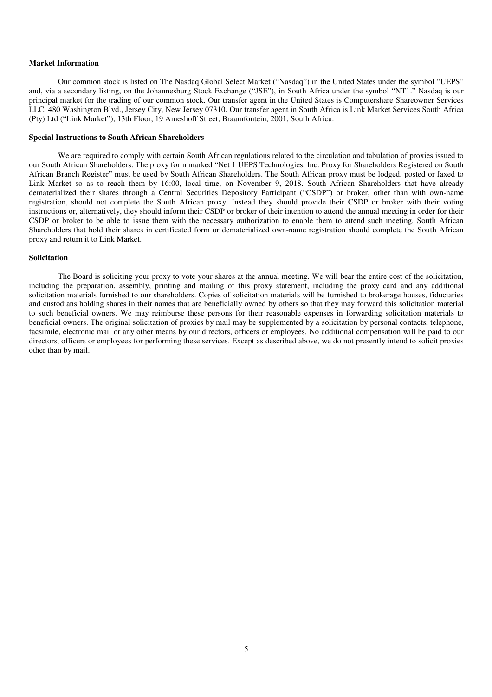## **Market Information**

Our common stock is listed on The Nasdaq Global Select Market ("Nasdaq") in the United States under the symbol "UEPS" and, via a secondary listing, on the Johannesburg Stock Exchange ("JSE"), in South Africa under the symbol "NT1." Nasdaq is our principal market for the trading of our common stock. Our transfer agent in the United States is Computershare Shareowner Services LLC, 480 Washington Blvd., Jersey City, New Jersey 07310. Our transfer agent in South Africa is Link Market Services South Africa (Pty) Ltd ("Link Market"), 13th Floor, 19 Ameshoff Street, Braamfontein, 2001, South Africa.

## **Special Instructions to South African Shareholders**

We are required to comply with certain South African regulations related to the circulation and tabulation of proxies issued to our South African Shareholders. The proxy form marked "Net 1 UEPS Technologies, Inc. Proxy for Shareholders Registered on South African Branch Register" must be used by South African Shareholders. The South African proxy must be lodged, posted or faxed to Link Market so as to reach them by 16:00, local time, on November 9, 2018. South African Shareholders that have already dematerialized their shares through a Central Securities Depository Participant ("CSDP") or broker, other than with own-name registration, should not complete the South African proxy. Instead they should provide their CSDP or broker with their voting instructions or, alternatively, they should inform their CSDP or broker of their intention to attend the annual meeting in order for their CSDP or broker to be able to issue them with the necessary authorization to enable them to attend such meeting. South African Shareholders that hold their shares in certificated form or dematerialized own-name registration should complete the South African proxy and return it to Link Market.

### **Solicitation**

The Board is soliciting your proxy to vote your shares at the annual meeting. We will bear the entire cost of the solicitation, including the preparation, assembly, printing and mailing of this proxy statement, including the proxy card and any additional solicitation materials furnished to our shareholders. Copies of solicitation materials will be furnished to brokerage houses, fiduciaries and custodians holding shares in their names that are beneficially owned by others so that they may forward this solicitation material to such beneficial owners. We may reimburse these persons for their reasonable expenses in forwarding solicitation materials to beneficial owners. The original solicitation of proxies by mail may be supplemented by a solicitation by personal contacts, telephone, facsimile, electronic mail or any other means by our directors, officers or employees. No additional compensation will be paid to our directors, officers or employees for performing these services. Except as described above, we do not presently intend to solicit proxies other than by mail.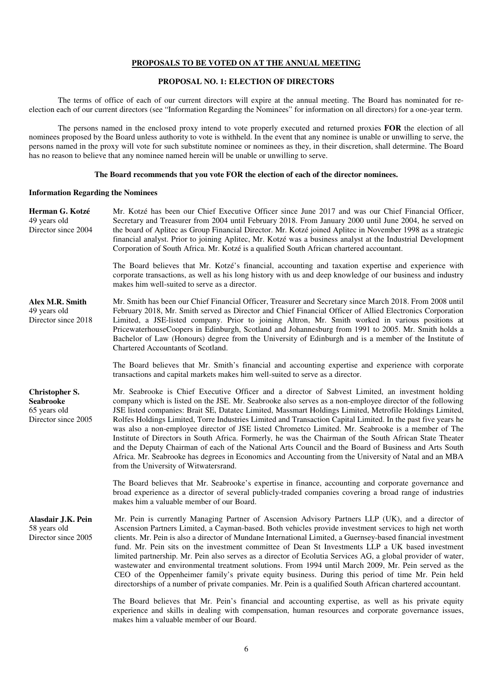### **PROPOSALS TO BE VOTED ON AT THE ANNUAL MEETING**

## **PROPOSAL NO. 1: ELECTION OF DIRECTORS**

The terms of office of each of our current directors will expire at the annual meeting. The Board has nominated for reelection each of our current directors (see "Information Regarding the Nominees" for information on all directors) for a one-year term.

The persons named in the enclosed proxy intend to vote properly executed and returned proxies **FOR** the election of all nominees proposed by the Board unless authority to vote is withheld. In the event that any nominee is unable or unwilling to serve, the persons named in the proxy will vote for such substitute nominee or nominees as they, in their discretion, shall determine. The Board has no reason to believe that any nominee named herein will be unable or unwilling to serve.

#### **The Board recommends that you vote FOR the election of each of the director nominees.**

#### **Information Regarding the Nominees**

**Herman G. Kotzé** 49 years old Director since 2004 Mr. Kotzé has been our Chief Executive Officer since June 2017 and was our Chief Financial Officer, Secretary and Treasurer from 2004 until February 2018. From January 2000 until June 2004, he served on the board of Aplitec as Group Financial Director. Mr. Kotzé joined Aplitec in November 1998 as a strategic financial analyst. Prior to joining Aplitec, Mr. Kotzé was a business analyst at the Industrial Development Corporation of South Africa. Mr. Kotzé is a qualified South African chartered accountant. The Board believes that Mr. Kotzé's financial, accounting and taxation expertise and experience with corporate transactions, as well as his long history with us and deep knowledge of our business and industry makes him well-suited to serve as a director. **Alex M.R. Smith** 49 years old Director since 2018 Mr. Smith has been our Chief Financial Officer, Treasurer and Secretary since March 2018. From 2008 until February 2018, Mr. Smith served as Director and Chief Financial Officer of Allied Electronics Corporation Limited, a JSE-listed company. Prior to joining Altron, Mr. Smith worked in various positions at PricewaterhouseCoopers in Edinburgh, Scotland and Johannesburg from 1991 to 2005. Mr. Smith holds a Bachelor of Law (Honours) degree from the University of Edinburgh and is a member of the Institute of Chartered Accountants of Scotland. The Board believes that Mr. Smith's financial and accounting expertise and experience with corporate transactions and capital markets makes him well-suited to serve as a director. **Christopher S. Seabrooke** 65 years old Director since 2005 Mr. Seabrooke is Chief Executive Officer and a director of Sabvest Limited, an investment holding company which is listed on the JSE. Mr. Seabrooke also serves as a non-employee director of the following JSE listed companies: Brait SE, Datatec Limited, Massmart Holdings Limited, Metrofile Holdings Limited, Rolfes Holdings Limited, Torre Industries Limited and Transaction Capital Limited. In the past five years he was also a non-employee director of JSE listed Chrometco Limited. Mr. Seabrooke is a member of The Institute of Directors in South Africa. Formerly, he was the Chairman of the South African State Theater and the Deputy Chairman of each of the National Arts Council and the Board of Business and Arts South Africa. Mr. Seabrooke has degrees in Economics and Accounting from the University of Natal and an MBA from the University of Witwatersrand. The Board believes that Mr. Seabrooke's expertise in finance, accounting and corporate governance and broad experience as a director of several publicly-traded companies covering a broad range of industries makes him a valuable member of our Board. **Alasdair J.K. Pein** 58 years old Director since 2005 Mr. Pein is currently Managing Partner of Ascension Advisory Partners LLP (UK), and a director of Ascension Partners Limited, a Cayman-based. Both vehicles provide investment services to high net worth clients. Mr. Pein is also a director of Mundane International Limited, a Guernsey-based financial investment fund. Mr. Pein sits on the investment committee of Dean St Investments LLP a UK based investment limited partnership. Mr. Pein also serves as a director of Ecolutia Services AG, a global provider of water, wastewater and environmental treatment solutions. From 1994 until March 2009, Mr. Pein served as the CEO of the Oppenheimer family's private equity business. During this period of time Mr. Pein held directorships of a number of private companies. Mr. Pein is a qualified South African chartered accountant. The Board believes that Mr. Pein's financial and accounting expertise, as well as his private equity experience and skills in dealing with compensation, human resources and corporate governance issues,

makes him a valuable member of our Board.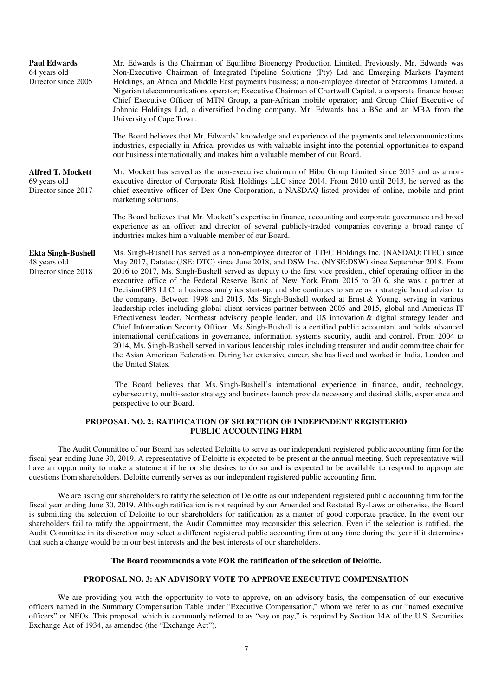| <b>Paul Edwards</b><br>64 years old<br>Director since 2005       | Mr. Edwards is the Chairman of Equilibre Bioenergy Production Limited. Previously, Mr. Edwards was<br>Non-Executive Chairman of Integrated Pipeline Solutions (Pty) Ltd and Emerging Markets Payment<br>Holdings, an Africa and Middle East payments business; a non-employee director of Starcomms Limited, a<br>Nigerian telecommunications operator; Executive Chairman of Chartwell Capital, a corporate finance house;<br>Chief Executive Officer of MTN Group, a pan-African mobile operator; and Group Chief Executive of<br>Johnnic Holdings Ltd, a diversified holding company. Mr. Edwards has a BSc and an MBA from the<br>University of Cape Town.                                                                                                                                                                                                                                                                                                                                                                                                                                                                                                                                                                                                                                                                                   |
|------------------------------------------------------------------|--------------------------------------------------------------------------------------------------------------------------------------------------------------------------------------------------------------------------------------------------------------------------------------------------------------------------------------------------------------------------------------------------------------------------------------------------------------------------------------------------------------------------------------------------------------------------------------------------------------------------------------------------------------------------------------------------------------------------------------------------------------------------------------------------------------------------------------------------------------------------------------------------------------------------------------------------------------------------------------------------------------------------------------------------------------------------------------------------------------------------------------------------------------------------------------------------------------------------------------------------------------------------------------------------------------------------------------------------|
|                                                                  | The Board believes that Mr. Edwards' knowledge and experience of the payments and telecommunications<br>industries, especially in Africa, provides us with valuable insight into the potential opportunities to expand<br>our business internationally and makes him a valuable member of our Board.                                                                                                                                                                                                                                                                                                                                                                                                                                                                                                                                                                                                                                                                                                                                                                                                                                                                                                                                                                                                                                             |
| <b>Alfred T. Mockett</b><br>69 years old<br>Director since 2017  | Mr. Mockett has served as the non-executive chairman of Hibu Group Limited since 2013 and as a non-<br>executive director of Corporate Risk Holdings LLC since 2014. From 2010 until 2013, he served as the<br>chief executive officer of Dex One Corporation, a NASDAQ-listed provider of online, mobile and print<br>marketing solutions.                                                                                                                                                                                                                                                                                                                                                                                                                                                                                                                                                                                                                                                                                                                                                                                                                                                                                                                                                                                                      |
|                                                                  | The Board believes that Mr. Mockett's expertise in finance, accounting and corporate governance and broad<br>experience as an officer and director of several publicly-traded companies covering a broad range of<br>industries makes him a valuable member of our Board.                                                                                                                                                                                                                                                                                                                                                                                                                                                                                                                                                                                                                                                                                                                                                                                                                                                                                                                                                                                                                                                                        |
| <b>Ekta Singh-Bushell</b><br>48 years old<br>Director since 2018 | Ms. Singh-Bushell has served as a non-employee director of TTEC Holdings Inc. (NASDAQ:TTEC) since<br>May 2017, Datatec (JSE: DTC) since June 2018, and DSW Inc. (NYSE:DSW) since September 2018. From<br>2016 to 2017, Ms. Singh-Bushell served as deputy to the first vice president, chief operating officer in the<br>executive office of the Federal Reserve Bank of New York. From 2015 to 2016, she was a partner at<br>DecisionGPS LLC, a business analytics start-up; and she continues to serve as a strategic board advisor to<br>the company. Between 1998 and 2015, Ms. Singh-Bushell worked at Ernst & Young, serving in various<br>leadership roles including global client services partner between 2005 and 2015, global and Americas IT<br>Effectiveness leader, Northeast advisory people leader, and US innovation & digital strategy leader and<br>Chief Information Security Officer. Ms. Singh-Bushell is a certified public accountant and holds advanced<br>international certifications in governance, information systems security, audit and control. From 2004 to<br>2014, Ms. Singh-Bushell served in various leadership roles including treasurer and audit committee chair for<br>the Asian American Federation. During her extensive career, she has lived and worked in India, London and<br>the United States. |
|                                                                  | The Board believes that Ms. Singh-Bushell's international experience in finance, audit, technology,<br>cybersecurity, multi-sector strategy and business launch provide necessary and desired skills, experience and<br>perspective to our Board.                                                                                                                                                                                                                                                                                                                                                                                                                                                                                                                                                                                                                                                                                                                                                                                                                                                                                                                                                                                                                                                                                                |

# **PROPOSAL NO. 2: RATIFICATION OF SELECTION OF INDEPENDENT REGISTERED PUBLIC ACCOUNTING FIRM**

The Audit Committee of our Board has selected Deloitte to serve as our independent registered public accounting firm for the fiscal year ending June 30, 2019. A representative of Deloitte is expected to be present at the annual meeting. Such representative will have an opportunity to make a statement if he or she desires to do so and is expected to be available to respond to appropriate questions from shareholders. Deloitte currently serves as our independent registered public accounting firm.

We are asking our shareholders to ratify the selection of Deloitte as our independent registered public accounting firm for the fiscal year ending June 30, 2019. Although ratification is not required by our Amended and Restated By-Laws or otherwise, the Board is submitting the selection of Deloitte to our shareholders for ratification as a matter of good corporate practice. In the event our shareholders fail to ratify the appointment, the Audit Committee may reconsider this selection. Even if the selection is ratified, the Audit Committee in its discretion may select a different registered public accounting firm at any time during the year if it determines that such a change would be in our best interests and the best interests of our shareholders.

## **The Board recommends a vote FOR the ratification of the selection of Deloitte.**

### **PROPOSAL NO. 3: AN ADVISORY VOTE TO APPROVE EXECUTIVE COMPENSATION**

We are providing you with the opportunity to vote to approve, on an advisory basis, the compensation of our executive officers named in the Summary Compensation Table under "Executive Compensation," whom we refer to as our "named executive officers" or NEOs. This proposal, which is commonly referred to as "say on pay," is required by Section 14A of the U.S. Securities Exchange Act of 1934, as amended (the "Exchange Act").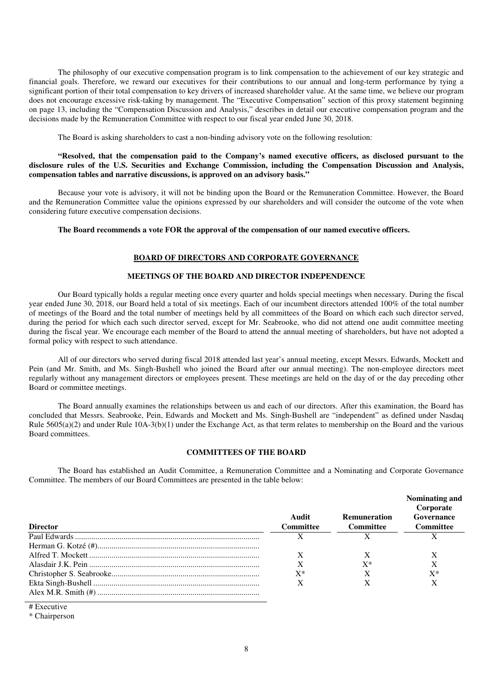The philosophy of our executive compensation program is to link compensation to the achievement of our key strategic and financial goals. Therefore, we reward our executives for their contributions to our annual and long-term performance by tying a significant portion of their total compensation to key drivers of increased shareholder value. At the same time, we believe our program does not encourage excessive risk-taking by management. The "Executive Compensation" section of this proxy statement beginning on page 13, including the "Compensation Discussion and Analysis," describes in detail our executive compensation program and the decisions made by the Remuneration Committee with respect to our fiscal year ended June 30, 2018.

The Board is asking shareholders to cast a non-binding advisory vote on the following resolution:

## **"Resolved, that the compensation paid to the Company's named executive officers, as disclosed pursuant to the disclosure rules of the U.S. Securities and Exchange Commission, including the Compensation Discussion and Analysis, compensation tables and narrative discussions, is approved on an advisory basis."**

Because your vote is advisory, it will not be binding upon the Board or the Remuneration Committee. However, the Board and the Remuneration Committee value the opinions expressed by our shareholders and will consider the outcome of the vote when considering future executive compensation decisions.

## **The Board recommends a vote FOR the approval of the compensation of our named executive officers.**

## **BOARD OF DIRECTORS AND CORPORATE GOVERNANCE**

## **MEETINGS OF THE BOARD AND DIRECTOR INDEPENDENCE**

Our Board typically holds a regular meeting once every quarter and holds special meetings when necessary. During the fiscal year ended June 30, 2018, our Board held a total of six meetings. Each of our incumbent directors attended 100% of the total number of meetings of the Board and the total number of meetings held by all committees of the Board on which each such director served, during the period for which each such director served, except for Mr. Seabrooke, who did not attend one audit committee meeting during the fiscal year. We encourage each member of the Board to attend the annual meeting of shareholders, but have not adopted a formal policy with respect to such attendance.

All of our directors who served during fiscal 2018 attended last year's annual meeting, except Messrs. Edwards, Mockett and Pein (and Mr. Smith, and Ms. Singh-Bushell who joined the Board after our annual meeting). The non-employee directors meet regularly without any management directors or employees present. These meetings are held on the day of or the day preceding other Board or committee meetings.

The Board annually examines the relationships between us and each of our directors. After this examination, the Board has concluded that Messrs. Seabrooke, Pein, Edwards and Mockett and Ms. Singh-Bushell are "independent" as defined under Nasdaq Rule  $5605(a)(2)$  and under Rule  $10A-3(b)(1)$  under the Exchange Act, as that term relates to membership on the Board and the various Board committees.

### **COMMITTEES OF THE BOARD**

The Board has established an Audit Committee, a Remuneration Committee and a Nominating and Corporate Governance Committee. The members of our Board Committees are presented in the table below:

| <b>Director</b> | Audit<br><b>Committee</b> | <b>Remuneration</b><br><b>Committee</b> | Nominating and<br>Corporate<br>Governance<br>Committee |
|-----------------|---------------------------|-----------------------------------------|--------------------------------------------------------|
|                 |                           |                                         |                                                        |
|                 |                           |                                         |                                                        |
|                 |                           |                                         |                                                        |
|                 |                           | $X^*$                                   |                                                        |
|                 | $\mathrm{X}^*$            |                                         | $X^*$                                                  |
|                 | Х                         |                                         |                                                        |
|                 |                           |                                         |                                                        |

# Executive

<sup>\*</sup> Chairperson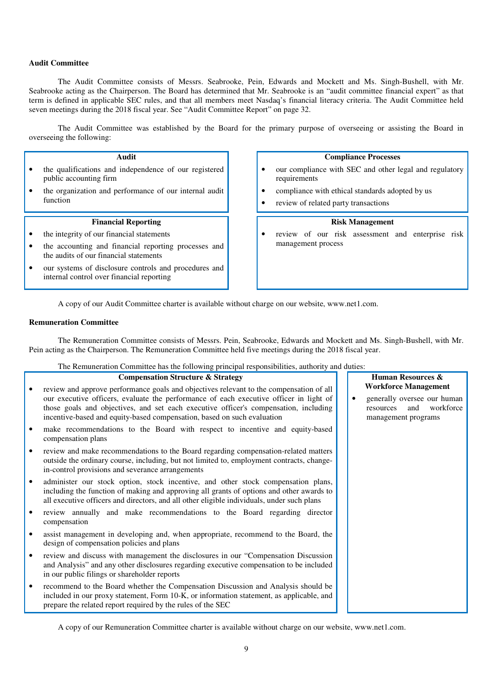## **Audit Committee**

The Audit Committee consists of Messrs. Seabrooke, Pein, Edwards and Mockett and Ms. Singh-Bushell, with Mr. Seabrooke acting as the Chairperson. The Board has determined that Mr. Seabrooke is an "audit committee financial expert" as that term is defined in applicable SEC rules, and that all members meet Nasdaq's financial literacy criteria. The Audit Committee held seven meetings during the 2018 fiscal year. See "Audit Committee Report" on page 32.

The Audit Committee was established by the Board for the primary purpose of overseeing or assisting the Board in overseeing the following:

## **Audit**

- the qualifications and independence of our registered public accounting firm
- the organization and performance of our internal audit function

### **Financial Reporting**

- the integrity of our financial statements
- the accounting and financial reporting processes and the audits of our financial statements
- our systems of disclosure controls and procedures and internal control over financial reporting

## **Compliance Processes**

- our compliance with SEC and other legal and regulatory requirements
- compliance with ethical standards adopted by us
- review of related party transactions

# **Risk Management**

• review of our risk assessment and enterprise risk management process

A copy of our Audit Committee charter is available without charge on our website, www.net1.com.

## **Remuneration Committee**

The Remuneration Committee consists of Messrs. Pein, Seabrooke, Edwards and Mockett and Ms. Singh-Bushell, with Mr. Pein acting as the Chairperson. The Remuneration Committee held five meetings during the 2018 fiscal year.

The Remuneration Committee has the following principal responsibilities, authority and duties:

| <b>Compensation Structure &amp; Strategy</b>                                                                                                                                                                                                                                                                                                         |  | Human Resources &                                                                                                  |
|------------------------------------------------------------------------------------------------------------------------------------------------------------------------------------------------------------------------------------------------------------------------------------------------------------------------------------------------------|--|--------------------------------------------------------------------------------------------------------------------|
| review and approve performance goals and objectives relevant to the compensation of all<br>our executive officers, evaluate the performance of each executive officer in light of<br>those goals and objectives, and set each executive officer's compensation, including<br>incentive-based and equity-based compensation, based on such evaluation |  | <b>Workforce Management</b><br>generally oversee our human<br>workforce<br>and<br>resources<br>management programs |
| make recommendations to the Board with respect to incentive and equity-based<br>compensation plans                                                                                                                                                                                                                                                   |  |                                                                                                                    |
| review and make recommendations to the Board regarding compensation-related matters<br>outside the ordinary course, including, but not limited to, employment contracts, change-<br>in-control provisions and severance arrangements                                                                                                                 |  |                                                                                                                    |
| administer our stock option, stock incentive, and other stock compensation plans,<br>including the function of making and approving all grants of options and other awards to<br>all executive officers and directors, and all other eligible individuals, under such plans                                                                          |  |                                                                                                                    |
| review annually and make recommendations to the Board regarding director<br>compensation                                                                                                                                                                                                                                                             |  |                                                                                                                    |
| assist management in developing and, when appropriate, recommend to the Board, the<br>design of compensation policies and plans                                                                                                                                                                                                                      |  |                                                                                                                    |
| review and discuss with management the disclosures in our "Compensation Discussion"<br>and Analysis" and any other disclosures regarding executive compensation to be included<br>in our public filings or shareholder reports                                                                                                                       |  |                                                                                                                    |
| recommend to the Board whether the Compensation Discussion and Analysis should be<br>included in our proxy statement, Form 10-K, or information statement, as applicable, and<br>prepare the related report required by the rules of the SEC                                                                                                         |  |                                                                                                                    |

A copy of our Remuneration Committee charter is available without charge on our website, www.net1.com.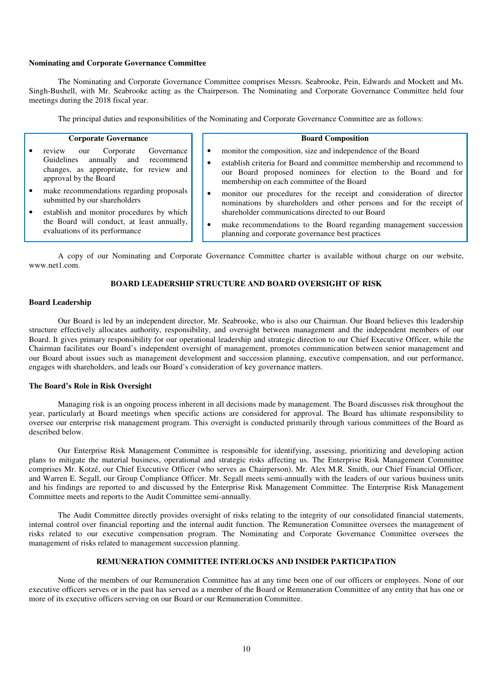## **Nominating and Corporate Governance Committee**

The Nominating and Corporate Governance Committee comprises Messrs. Seabrooke, Pein, Edwards and Mockett and Ms. Singh-Bushell, with Mr. Seabrooke acting as the Chairperson. The Nominating and Corporate Governance Committee held four meetings during the 2018 fiscal year.

The principal duties and responsibilities of the Nominating and Corporate Governance Committee are as follows:

#### **Corporate Governance**

- review our Corporate Governance<br>
Guidelines annually and recommend annually and recommend changes, as appropriate, for review and approval by the Board
- make recommendations regarding proposals submitted by our shareholders
- establish and monitor procedures by which the Board will conduct, at least annually, evaluations of its performance
- **Board Composition**
- monitor the composition, size and independence of the Board
- establish criteria for Board and committee membership and recommend to our Board proposed nominees for election to the Board and for membership on each committee of the Board
- monitor our procedures for the receipt and consideration of director nominations by shareholders and other persons and for the receipt of shareholder communications directed to our Board
- make recommendations to the Board regarding management succession planning and corporate governance best practices

A copy of our Nominating and Corporate Governance Committee charter is available without charge on our website, www.net1.com.

### **BOARD LEADERSHIP STRUCTURE AND BOARD OVERSIGHT OF RISK**

## **Board Leadership**

Our Board is led by an independent director, Mr. Seabrooke, who is also our Chairman. Our Board believes this leadership structure effectively allocates authority, responsibility, and oversight between management and the independent members of our Board. It gives primary responsibility for our operational leadership and strategic direction to our Chief Executive Officer, while the Chairman facilitates our Board's independent oversight of management, promotes communication between senior management and our Board about issues such as management development and succession planning, executive compensation, and our performance, engages with shareholders, and leads our Board's consideration of key governance matters.

### **The Board's Role in Risk Oversight**

Managing risk is an ongoing process inherent in all decisions made by management. The Board discusses risk throughout the year, particularly at Board meetings when specific actions are considered for approval. The Board has ultimate responsibility to oversee our enterprise risk management program. This oversight is conducted primarily through various committees of the Board as described below.

Our Enterprise Risk Management Committee is responsible for identifying, assessing, prioritizing and developing action plans to mitigate the material business, operational and strategic risks affecting us. The Enterprise Risk Management Committee comprises Mr. Kotzé, our Chief Executive Officer (who serves as Chairperson), Mr. Alex M.R. Smith, our Chief Financial Officer, and Warren E. Segall, our Group Compliance Officer. Mr. Segall meets semi-annually with the leaders of our various business units and his findings are reported to and discussed by the Enterprise Risk Management Committee. The Enterprise Risk Management Committee meets and reports to the Audit Committee semi-annually.

The Audit Committee directly provides oversight of risks relating to the integrity of our consolidated financial statements, internal control over financial reporting and the internal audit function. The Remuneration Committee oversees the management of risks related to our executive compensation program. The Nominating and Corporate Governance Committee oversees the management of risks related to management succession planning.

## **REMUNERATION COMMITTEE INTERLOCKS AND INSIDER PARTICIPATION**

None of the members of our Remuneration Committee has at any time been one of our officers or employees. None of our executive officers serves or in the past has served as a member of the Board or Remuneration Committee of any entity that has one or more of its executive officers serving on our Board or our Remuneration Committee.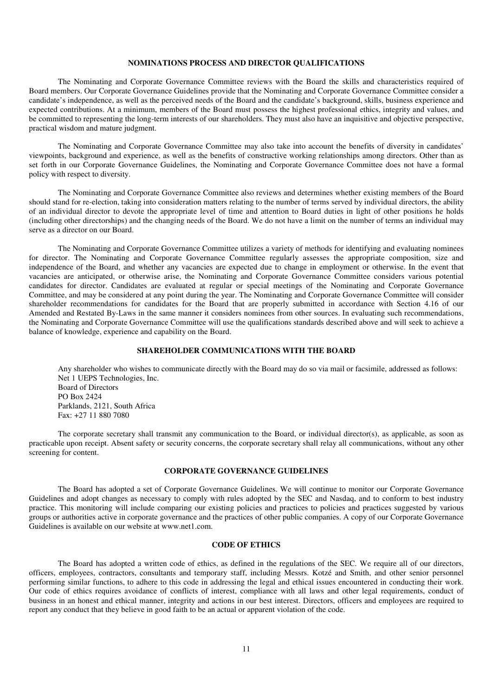### **NOMINATIONS PROCESS AND DIRECTOR QUALIFICATIONS**

The Nominating and Corporate Governance Committee reviews with the Board the skills and characteristics required of Board members. Our Corporate Governance Guidelines provide that the Nominating and Corporate Governance Committee consider a candidate's independence, as well as the perceived needs of the Board and the candidate's background, skills, business experience and expected contributions. At a minimum, members of the Board must possess the highest professional ethics, integrity and values, and be committed to representing the long-term interests of our shareholders. They must also have an inquisitive and objective perspective, practical wisdom and mature judgment.

The Nominating and Corporate Governance Committee may also take into account the benefits of diversity in candidates' viewpoints, background and experience, as well as the benefits of constructive working relationships among directors. Other than as set forth in our Corporate Governance Guidelines, the Nominating and Corporate Governance Committee does not have a formal policy with respect to diversity.

The Nominating and Corporate Governance Committee also reviews and determines whether existing members of the Board should stand for re-election, taking into consideration matters relating to the number of terms served by individual directors, the ability of an individual director to devote the appropriate level of time and attention to Board duties in light of other positions he holds (including other directorships) and the changing needs of the Board. We do not have a limit on the number of terms an individual may serve as a director on our Board.

The Nominating and Corporate Governance Committee utilizes a variety of methods for identifying and evaluating nominees for director. The Nominating and Corporate Governance Committee regularly assesses the appropriate composition, size and independence of the Board, and whether any vacancies are expected due to change in employment or otherwise. In the event that vacancies are anticipated, or otherwise arise, the Nominating and Corporate Governance Committee considers various potential candidates for director. Candidates are evaluated at regular or special meetings of the Nominating and Corporate Governance Committee, and may be considered at any point during the year. The Nominating and Corporate Governance Committee will consider shareholder recommendations for candidates for the Board that are properly submitted in accordance with Section 4.16 of our Amended and Restated By-Laws in the same manner it considers nominees from other sources. In evaluating such recommendations, the Nominating and Corporate Governance Committee will use the qualifications standards described above and will seek to achieve a balance of knowledge, experience and capability on the Board.

## **SHAREHOLDER COMMUNICATIONS WITH THE BOARD**

Any shareholder who wishes to communicate directly with the Board may do so via mail or facsimile, addressed as follows: Net 1 UEPS Technologies, Inc. Board of Directors PO Box 2424 Parklands, 2121, South Africa Fax: +27 11 880 7080

The corporate secretary shall transmit any communication to the Board, or individual director(s), as applicable, as soon as practicable upon receipt. Absent safety or security concerns, the corporate secretary shall relay all communications, without any other screening for content.

### **CORPORATE GOVERNANCE GUIDELINES**

The Board has adopted a set of Corporate Governance Guidelines. We will continue to monitor our Corporate Governance Guidelines and adopt changes as necessary to comply with rules adopted by the SEC and Nasdaq, and to conform to best industry practice. This monitoring will include comparing our existing policies and practices to policies and practices suggested by various groups or authorities active in corporate governance and the practices of other public companies. A copy of our Corporate Governance Guidelines is available on our website at www.net1.com.

## **CODE OF ETHICS**

The Board has adopted a written code of ethics, as defined in the regulations of the SEC. We require all of our directors, officers, employees, contractors, consultants and temporary staff, including Messrs. Kotzé and Smith, and other senior personnel performing similar functions, to adhere to this code in addressing the legal and ethical issues encountered in conducting their work. Our code of ethics requires avoidance of conflicts of interest, compliance with all laws and other legal requirements, conduct of business in an honest and ethical manner, integrity and actions in our best interest. Directors, officers and employees are required to report any conduct that they believe in good faith to be an actual or apparent violation of the code.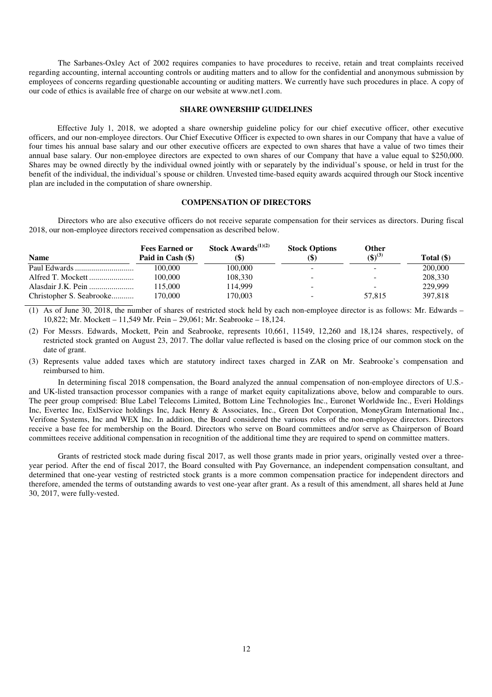The Sarbanes-Oxley Act of 2002 requires companies to have procedures to receive, retain and treat complaints received regarding accounting, internal accounting controls or auditing matters and to allow for the confidential and anonymous submission by employees of concerns regarding questionable accounting or auditing matters. We currently have such procedures in place. A copy of our code of ethics is available free of charge on our website at www.net1.com.

## **SHARE OWNERSHIP GUIDELINES**

Effective July 1, 2018, we adopted a share ownership guideline policy for our chief executive officer, other executive officers, and our non-employee directors. Our Chief Executive Officer is expected to own shares in our Company that have a value of four times his annual base salary and our other executive officers are expected to own shares that have a value of two times their annual base salary. Our non-employee directors are expected to own shares of our Company that have a value equal to \$250,000. Shares may be owned directly by the individual owned jointly with or separately by the individual's spouse, or held in trust for the benefit of the individual, the individual's spouse or children. Unvested time-based equity awards acquired through our Stock incentive plan are included in the computation of share ownership.

### **COMPENSATION OF DIRECTORS**

Directors who are also executive officers do not receive separate compensation for their services as directors. During fiscal 2018, our non-employee directors received compensation as described below.

|                          | <b>Fees Earned or</b> | <b>Stock Awards</b> <sup><math>(1)(2)</math></sup> | <b>Stock Options</b>     | Other                    |              |
|--------------------------|-----------------------|----------------------------------------------------|--------------------------|--------------------------|--------------|
| <b>Name</b>              | Paid in Cash $(\$)$   | (\$)                                               | (\$)                     | $({\bf 1})^{(3)}$        | Total $(\$)$ |
|                          | 100.000               | 100.000                                            |                          |                          | 200,000      |
| Alfred T. Mockett        | 100,000               | 108.330                                            | $\overline{\phantom{0}}$ |                          | 208,330      |
| Alasdair J.K. Pein       | 115,000               | 114.999                                            | $\overline{\phantom{a}}$ | $\overline{\phantom{a}}$ | 229,999      |
| Christopher S. Seabrooke | 170.000               | 170.003                                            | $\overline{\phantom{0}}$ | 57.815                   | 397.818      |

(1) As of June 30, 2018, the number of shares of restricted stock held by each non-employee director is as follows: Mr. Edwards – 10,822; Mr. Mockett – 11,549 Mr. Pein – 29,061; Mr. Seabrooke – 18,124.

(2) For Messrs. Edwards, Mockett, Pein and Seabrooke, represents 10,661, 11549, 12,260 and 18,124 shares, respectively, of restricted stock granted on August 23, 2017. The dollar value reflected is based on the closing price of our common stock on the date of grant.

(3) Represents value added taxes which are statutory indirect taxes charged in ZAR on Mr. Seabrooke's compensation and reimbursed to him.

In determining fiscal 2018 compensation, the Board analyzed the annual compensation of non-employee directors of U.S. and UK-listed transaction processor companies with a range of market equity capitalizations above, below and comparable to ours. The peer group comprised: Blue Label Telecoms Limited, Bottom Line Technologies Inc., Euronet Worldwide Inc., Everi Holdings Inc, Evertec Inc, ExlService holdings Inc, Jack Henry & Associates, Inc., Green Dot Corporation, MoneyGram International Inc., Verifone Systems, Inc and WEX Inc. In addition, the Board considered the various roles of the non-employee directors. Directors receive a base fee for membership on the Board. Directors who serve on Board committees and/or serve as Chairperson of Board committees receive additional compensation in recognition of the additional time they are required to spend on committee matters.

Grants of restricted stock made during fiscal 2017, as well those grants made in prior years, originally vested over a threeyear period. After the end of fiscal 2017, the Board consulted with Pay Governance, an independent compensation consultant, and determined that one-year vesting of restricted stock grants is a more common compensation practice for independent directors and therefore, amended the terms of outstanding awards to vest one-year after grant. As a result of this amendment, all shares held at June 30, 2017, were fully-vested.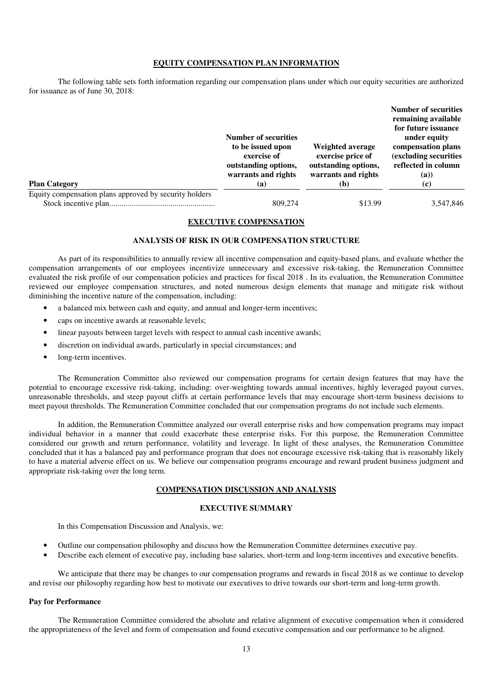## **EQUITY COMPENSATION PLAN INFORMATION**

The following table sets forth information regarding our compensation plans under which our equity securities are authorized for issuance as of June 30, 2018:

| <b>Plan Category</b>                                   | <b>Number of securities</b><br>to be issued upon<br>exercise of<br>outstanding options,<br>warrants and rights<br>(a) | Weighted average<br>exercise price of<br>outstanding options,<br>warrants and rights<br>(b) | <b>Number of securities</b><br>remaining available<br>for future issuance<br>under equity<br>compensation plans<br>(excluding securities<br>reflected in column<br>(a))<br>(c) |
|--------------------------------------------------------|-----------------------------------------------------------------------------------------------------------------------|---------------------------------------------------------------------------------------------|--------------------------------------------------------------------------------------------------------------------------------------------------------------------------------|
| Equity compensation plans approved by security holders |                                                                                                                       |                                                                                             |                                                                                                                                                                                |
|                                                        | 809,274                                                                                                               | \$13.99                                                                                     | 3,547,846                                                                                                                                                                      |

# **EXECUTIVE COMPENSATION**

# **ANALYSIS OF RISK IN OUR COMPENSATION STRUCTURE**

As part of its responsibilities to annually review all incentive compensation and equity-based plans, and evaluate whether the compensation arrangements of our employees incentivize unnecessary and excessive risk-taking, the Remuneration Committee evaluated the risk profile of our compensation policies and practices for fiscal 2018 . In its evaluation, the Remuneration Committee reviewed our employee compensation structures, and noted numerous design elements that manage and mitigate risk without diminishing the incentive nature of the compensation, including:

- a balanced mix between cash and equity, and annual and longer-term incentives;
- caps on incentive awards at reasonable levels;
- linear payouts between target levels with respect to annual cash incentive awards;
- discretion on individual awards, particularly in special circumstances; and
- long-term incentives.

The Remuneration Committee also reviewed our compensation programs for certain design features that may have the potential to encourage excessive risk-taking, including: over-weighting towards annual incentives, highly leveraged payout curves, unreasonable thresholds, and steep payout cliffs at certain performance levels that may encourage short-term business decisions to meet payout thresholds. The Remuneration Committee concluded that our compensation programs do not include such elements.

In addition, the Remuneration Committee analyzed our overall enterprise risks and how compensation programs may impact individual behavior in a manner that could exacerbate these enterprise risks. For this purpose, the Remuneration Committee considered our growth and return performance, volatility and leverage. In light of these analyses, the Remuneration Committee concluded that it has a balanced pay and performance program that does not encourage excessive risk-taking that is reasonably likely to have a material adverse effect on us. We believe our compensation programs encourage and reward prudent business judgment and appropriate risk-taking over the long term.

# **COMPENSATION DISCUSSION AND ANALYSIS**

# **EXECUTIVE SUMMARY**

In this Compensation Discussion and Analysis, we:

- Outline our compensation philosophy and discuss how the Remuneration Committee determines executive pay.
- Describe each element of executive pay, including base salaries, short-term and long-term incentives and executive benefits.

 We anticipate that there may be changes to our compensation programs and rewards in fiscal 2018 as we continue to develop and revise our philosophy regarding how best to motivate our executives to drive towards our short-term and long-term growth.

### **Pay for Performance**

 The Remuneration Committee considered the absolute and relative alignment of executive compensation when it considered the appropriateness of the level and form of compensation and found executive compensation and our performance to be aligned.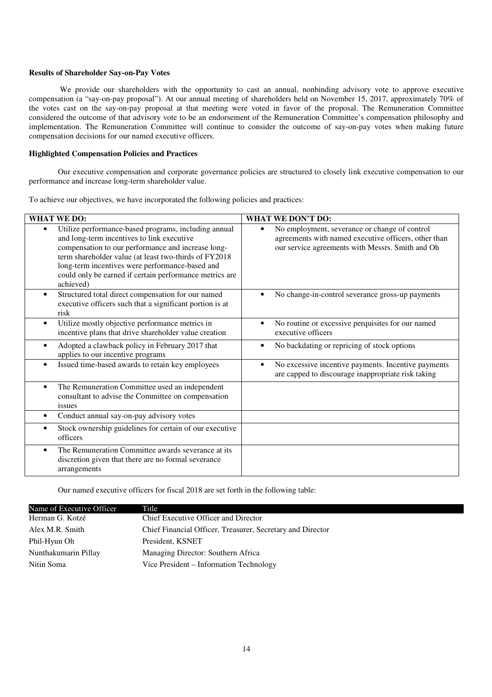### **Results of Shareholder Say-on-Pay Votes**

 We provide our shareholders with the opportunity to cast an annual, nonbinding advisory vote to approve executive compensation (a "say-on-pay proposal"). At our annual meeting of shareholders held on November 15, 2017, approximately 70% of the votes cast on the say-on-pay proposal at that meeting were voted in favor of the proposal. The Remuneration Committee considered the outcome of that advisory vote to be an endorsement of the Remuneration Committee's compensation philosophy and implementation. The Remuneration Committee will continue to consider the outcome of say-on-pay votes when making future compensation decisions for our named executive officers.

## **Highlighted Compensation Policies and Practices**

 Our executive compensation and corporate governance policies are structured to closely link executive compensation to our performance and increase long-term shareholder value.

To achieve our objectives, we have incorporated the following policies and practices:

| <b>WHAT WE DO:</b>                                                                                                                                                                                                                                                                                                                                        | <b>WHAT WE DON'T DO:</b>                                                                                                                                               |
|-----------------------------------------------------------------------------------------------------------------------------------------------------------------------------------------------------------------------------------------------------------------------------------------------------------------------------------------------------------|------------------------------------------------------------------------------------------------------------------------------------------------------------------------|
| Utilize performance-based programs, including annual<br>$\bullet$<br>and long-term incentives to link executive<br>compensation to our performance and increase long-<br>term shareholder value (at least two-thirds of FY2018<br>long-term incentives were performance-based and<br>could only be earned if certain performance metrics are<br>achieved) | No employment, severance or change of control<br>$\bullet$<br>agreements with named executive officers, other than<br>our service agreements with Messrs. Smith and Oh |
| Structured total direct compensation for our named<br>$\bullet$<br>executive officers such that a significant portion is at<br>risk                                                                                                                                                                                                                       | No change-in-control severance gross-up payments                                                                                                                       |
| Utilize mostly objective performance metrics in<br>$\bullet$<br>incentive plans that drive shareholder value creation                                                                                                                                                                                                                                     | No routine or excessive perquisites for our named<br>executive officers                                                                                                |
| Adopted a clawback policy in February 2017 that<br>$\bullet$<br>applies to our incentive programs                                                                                                                                                                                                                                                         | No backdating or repricing of stock options<br>$\bullet$                                                                                                               |
| Issued time-based awards to retain key employees<br>$\bullet$                                                                                                                                                                                                                                                                                             | No excessive incentive payments. Incentive payments<br>are capped to discourage inappropriate risk taking                                                              |
| The Remuneration Committee used an independent<br>$\bullet$<br>consultant to advise the Committee on compensation<br>issues                                                                                                                                                                                                                               |                                                                                                                                                                        |
| Conduct annual say-on-pay advisory votes<br>$\bullet$                                                                                                                                                                                                                                                                                                     |                                                                                                                                                                        |
| Stock ownership guidelines for certain of our executive<br>$\bullet$<br>officers                                                                                                                                                                                                                                                                          |                                                                                                                                                                        |
| The Remuneration Committee awards severance at its<br>$\bullet$<br>discretion given that there are no formal severance<br>arrangements                                                                                                                                                                                                                    |                                                                                                                                                                        |

Our named executive officers for fiscal 2018 are set forth in the following table:

| Name of Executive Officer | Title                                                      |
|---------------------------|------------------------------------------------------------|
| Herman G. Kotzé           | Chief Executive Officer and Director                       |
| Alex M.R. Smith           | Chief Financial Officer, Treasurer, Secretary and Director |
| Phil-Hyun Oh              | President, KSNET                                           |
| Nunthakumarin Pillay      | Managing Director: Southern Africa                         |
| Nitin Soma                | Vice President - Information Technology                    |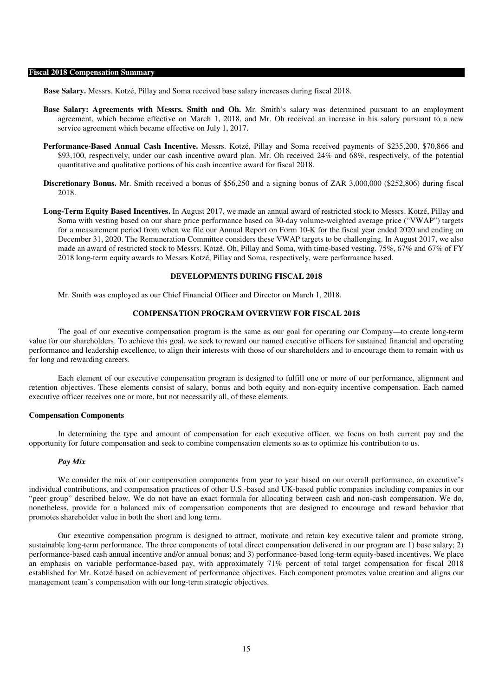#### **Fiscal 2018 Compensation Summary**

**Base Salary.** Messrs. Kotzé, Pillay and Soma received base salary increases during fiscal 2018.

- **Base Salary: Agreements with Messrs. Smith and Oh.** Mr. Smith's salary was determined pursuant to an employment agreement, which became effective on March 1, 2018, and Mr. Oh received an increase in his salary pursuant to a new service agreement which became effective on July 1, 2017.
- **Performance-Based Annual Cash Incentive.** Messrs. Kotzé, Pillay and Soma received payments of \$235,200, \$70,866 and \$93,100, respectively, under our cash incentive award plan. Mr. Oh received 24% and 68%, respectively, of the potential quantitative and qualitative portions of his cash incentive award for fiscal 2018.
- **Discretionary Bonus.** Mr. Smith received a bonus of \$56,250 and a signing bonus of ZAR 3,000,000 (\$252,806) during fiscal 2018.
- **Long-Term Equity Based Incentives.** In August 2017, we made an annual award of restricted stock to Messrs. Kotzé, Pillay and Soma with vesting based on our share price performance based on 30-day volume-weighted average price ("VWAP") targets for a measurement period from when we file our Annual Report on Form 10-K for the fiscal year ended 2020 and ending on December 31, 2020. The Remuneration Committee considers these VWAP targets to be challenging. In August 2017, we also made an award of restricted stock to Messrs. Kotzé, Oh, Pillay and Soma, with time-based vesting. 75%, 67% and 67% of FY 2018 long-term equity awards to Messrs Kotzé, Pillay and Soma, respectively, were performance based.

## **DEVELOPMENTS DURING FISCAL 2018**

Mr. Smith was employed as our Chief Financial Officer and Director on March 1, 2018.

## **COMPENSATION PROGRAM OVERVIEW FOR FISCAL 2018**

The goal of our executive compensation program is the same as our goal for operating our Company—to create long-term value for our shareholders. To achieve this goal, we seek to reward our named executive officers for sustained financial and operating performance and leadership excellence, to align their interests with those of our shareholders and to encourage them to remain with us for long and rewarding careers.

Each element of our executive compensation program is designed to fulfill one or more of our performance, alignment and retention objectives. These elements consist of salary, bonus and both equity and non-equity incentive compensation. Each named executive officer receives one or more, but not necessarily all, of these elements.

#### **Compensation Components**

In determining the type and amount of compensation for each executive officer, we focus on both current pay and the opportunity for future compensation and seek to combine compensation elements so as to optimize his contribution to us.

### *Pay Mix*

We consider the mix of our compensation components from year to year based on our overall performance, an executive's individual contributions, and compensation practices of other U.S.-based and UK-based public companies including companies in our "peer group" described below. We do not have an exact formula for allocating between cash and non-cash compensation. We do, nonetheless, provide for a balanced mix of compensation components that are designed to encourage and reward behavior that promotes shareholder value in both the short and long term.

Our executive compensation program is designed to attract, motivate and retain key executive talent and promote strong, sustainable long-term performance. The three components of total direct compensation delivered in our program are 1) base salary; 2) performance-based cash annual incentive and/or annual bonus; and 3) performance-based long-term equity-based incentives. We place an emphasis on variable performance-based pay, with approximately 71% percent of total target compensation for fiscal 2018 established for Mr. Kotzé based on achievement of performance objectives. Each component promotes value creation and aligns our management team's compensation with our long-term strategic objectives.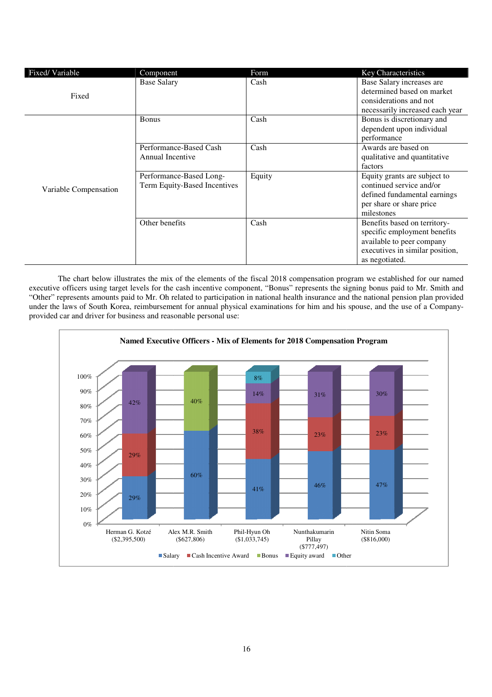| Fixed/Variable        | Component                                               | Form   | <b>Key Characteristics</b>                                                                                                                     |
|-----------------------|---------------------------------------------------------|--------|------------------------------------------------------------------------------------------------------------------------------------------------|
| Fixed                 | <b>Base Salary</b>                                      | Cash   | Base Salary increases are<br>determined based on market                                                                                        |
|                       |                                                         |        | considerations and not<br>necessarily increased each year                                                                                      |
|                       | <b>Bonus</b>                                            | Cash   | Bonus is discretionary and<br>dependent upon individual<br>performance                                                                         |
|                       | Performance-Based Cash<br>Annual Incentive              | Cash   | Awards are based on<br>qualitative and quantitative<br>factors                                                                                 |
| Variable Compensation | Performance-Based Long-<br>Term Equity-Based Incentives | Equity | Equity grants are subject to<br>continued service and/or<br>defined fundamental earnings<br>per share or share price<br>milestones             |
|                       | Other benefits                                          | Cash   | Benefits based on territory-<br>specific employment benefits<br>available to peer company<br>executives in similar position,<br>as negotiated. |

The chart below illustrates the mix of the elements of the fiscal 2018 compensation program we established for our named executive officers using target levels for the cash incentive component, "Bonus" represents the signing bonus paid to Mr. Smith and "Other" represents amounts paid to Mr. Oh related to participation in national health insurance and the national pension plan provided "Other" represents amounts paid to Mr. Oh related to participation in national health insurance and the national pension plan provided<br>under the laws of South Korea, reimbursement for annual physical examinations for him a provided car and driver for business and reasonable personal use:

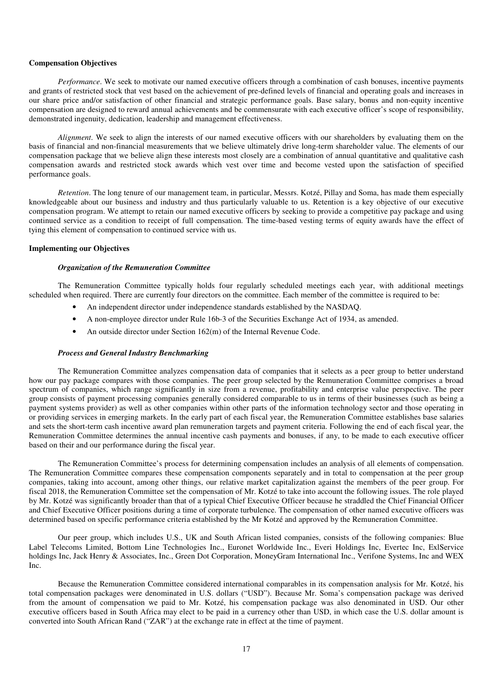## **Compensation Objectives**

*Performance*. We seek to motivate our named executive officers through a combination of cash bonuses, incentive payments and grants of restricted stock that vest based on the achievement of pre-defined levels of financial and operating goals and increases in our share price and/or satisfaction of other financial and strategic performance goals. Base salary, bonus and non-equity incentive compensation are designed to reward annual achievements and be commensurate with each executive officer's scope of responsibility, demonstrated ingenuity, dedication, leadership and management effectiveness.

*Alignment*. We seek to align the interests of our named executive officers with our shareholders by evaluating them on the basis of financial and non-financial measurements that we believe ultimately drive long-term shareholder value. The elements of our compensation package that we believe align these interests most closely are a combination of annual quantitative and qualitative cash compensation awards and restricted stock awards which vest over time and become vested upon the satisfaction of specified performance goals.

*Retention*. The long tenure of our management team, in particular, Messrs. Kotzé, Pillay and Soma, has made them especially knowledgeable about our business and industry and thus particularly valuable to us. Retention is a key objective of our executive compensation program. We attempt to retain our named executive officers by seeking to provide a competitive pay package and using continued service as a condition to receipt of full compensation. The time-based vesting terms of equity awards have the effect of tying this element of compensation to continued service with us.

## **Implementing our Objectives**

## *Organization of the Remuneration Committee*

The Remuneration Committee typically holds four regularly scheduled meetings each year, with additional meetings scheduled when required. There are currently four directors on the committee. Each member of the committee is required to be:

- An independent director under independence standards established by the NASDAQ.
- A non-employee director under Rule 16b-3 of the Securities Exchange Act of 1934, as amended.
- An outside director under Section 162(m) of the Internal Revenue Code.

#### *Process and General Industry Benchmarking*

The Remuneration Committee analyzes compensation data of companies that it selects as a peer group to better understand how our pay package compares with those companies. The peer group selected by the Remuneration Committee comprises a broad spectrum of companies, which range significantly in size from a revenue, profitability and enterprise value perspective. The peer group consists of payment processing companies generally considered comparable to us in terms of their businesses (such as being a payment systems provider) as well as other companies within other parts of the information technology sector and those operating in or providing services in emerging markets. In the early part of each fiscal year, the Remuneration Committee establishes base salaries and sets the short-term cash incentive award plan remuneration targets and payment criteria. Following the end of each fiscal year, the Remuneration Committee determines the annual incentive cash payments and bonuses, if any, to be made to each executive officer based on their and our performance during the fiscal year.

The Remuneration Committee's process for determining compensation includes an analysis of all elements of compensation. The Remuneration Committee compares these compensation components separately and in total to compensation at the peer group companies, taking into account, among other things, our relative market capitalization against the members of the peer group. For fiscal 2018, the Remuneration Committee set the compensation of Mr. Kotzé to take into account the following issues. The role played by Mr. Kotzé was significantly broader than that of a typical Chief Executive Officer because he straddled the Chief Financial Officer and Chief Executive Officer positions during a time of corporate turbulence. The compensation of other named executive officers was determined based on specific performance criteria established by the Mr Kotzé and approved by the Remuneration Committee.

Our peer group, which includes U.S., UK and South African listed companies, consists of the following companies: Blue Label Telecoms Limited, Bottom Line Technologies Inc., Euronet Worldwide Inc., Everi Holdings Inc, Evertec Inc, ExlService holdings Inc, Jack Henry & Associates, Inc., Green Dot Corporation, MoneyGram International Inc., Verifone Systems, Inc and WEX Inc.

Because the Remuneration Committee considered international comparables in its compensation analysis for Mr. Kotzé, his total compensation packages were denominated in U.S. dollars ("USD"). Because Mr. Soma's compensation package was derived from the amount of compensation we paid to Mr. Kotzé, his compensation package was also denominated in USD. Our other executive officers based in South Africa may elect to be paid in a currency other than USD, in which case the U.S. dollar amount is converted into South African Rand ("ZAR") at the exchange rate in effect at the time of payment.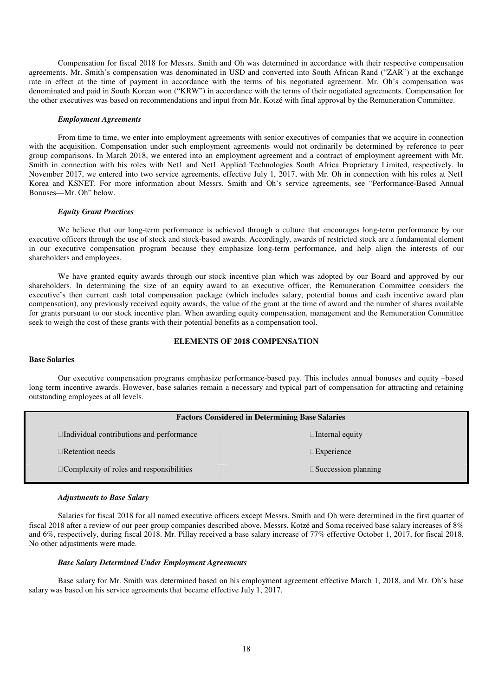Compensation for fiscal 2018 for Messrs. Smith and Oh was determined in accordance with their respective compensation agreements. Mr. Smith's compensation was denominated in USD and converted into South African Rand ("ZAR") at the exchange rate in effect at the time of payment in accordance with the terms of his negotiated agreement. Mr. Oh's compensation was denominated and paid in South Korean won ("KRW") in accordance with the terms of their negotiated agreements. Compensation for the other executives was based on recommendations and input from Mr. Kotzé with final approval by the Remuneration Committee.

#### *Employment Agreements*

From time to time, we enter into employment agreements with senior executives of companies that we acquire in connection with the acquisition. Compensation under such employment agreements would not ordinarily be determined by reference to peer group comparisons. In March 2018, we entered into an employment agreement and a contract of employment agreement with Mr. Smith in connection with his roles with Net1 and Net1 Applied Technologies South Africa Proprietary Limited, respectively. In November 2017, we entered into two service agreements, effective July 1, 2017, with Mr. Oh in connection with his roles at Net1 Korea and KSNET. For more information about Messrs. Smith and Oh's service agreements, see "Performance-Based Annual Bonuses—Mr. Oh" below.

### *Equity Grant Practices*

We believe that our long-term performance is achieved through a culture that encourages long-term performance by our executive officers through the use of stock and stock-based awards. Accordingly, awards of restricted stock are a fundamental element in our executive compensation program because they emphasize long-term performance, and help align the interests of our shareholders and employees.

We have granted equity awards through our stock incentive plan which was adopted by our Board and approved by our shareholders. In determining the size of an equity award to an executive officer, the Remuneration Committee considers the executive's then current cash total compensation package (which includes salary, potential bonus and cash incentive award plan compensation), any previously received equity awards, the value of the grant at the time of award and the number of shares available for grants pursuant to our stock incentive plan. When awarding equity compensation, management and the Remuneration Committee seek to weigh the cost of these grants with their potential benefits as a compensation tool.

## **ELEMENTS OF 2018 COMPENSATION**

#### **Base Salaries**

Our executive compensation programs emphasize performance-based pay. This includes annual bonuses and equity –based long term incentive awards. However, base salaries remain a necessary and typical part of compensation for attracting and retaining outstanding employees at all levels.

|                                          | <b>Factors Considered in Determining Base Salaries</b> |
|------------------------------------------|--------------------------------------------------------|
| Individual contributions and performance | Internal equity                                        |
| Retention needs                          | Experience                                             |
| Complexity of roles and responsibilities | Succession planning                                    |

#### *Adjustments to Base Salary*

Salaries for fiscal 2018 for all named executive officers except Messrs. Smith and Oh were determined in the first quarter of fiscal 2018 after a review of our peer group companies described above. Messrs. Kotzé and Soma received base salary increases of 8% and 6%, respectively, during fiscal 2018. Mr. Pillay received a base salary increase of 77% effective October 1, 2017, for fiscal 2018. No other adjustments were made.

#### *Base Salary Determined Under Employment Agreements*

Base salary for Mr. Smith was determined based on his employment agreement effective March 1, 2018, and Mr. Oh's base salary was based on his service agreements that became effective July 1, 2017.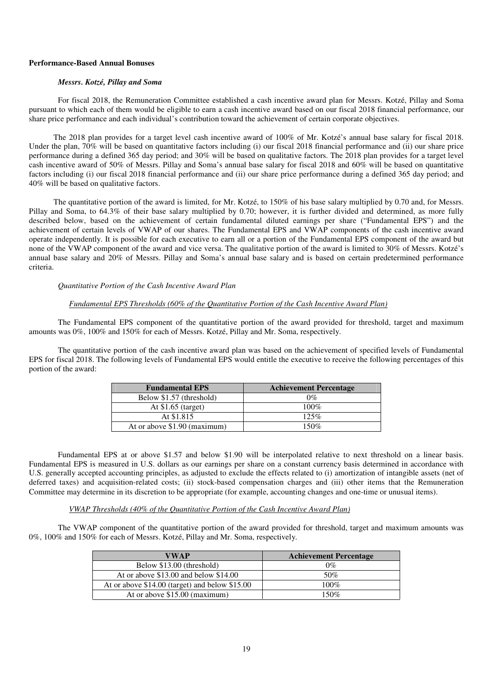## **Performance-Based Annual Bonuses**

### *Messrs. Kotzé, Pillay and Soma*

For fiscal 2018, the Remuneration Committee established a cash incentive award plan for Messrs. Kotzé, Pillay and Soma pursuant to which each of them would be eligible to earn a cash incentive award based on our fiscal 2018 financial performance, our share price performance and each individual's contribution toward the achievement of certain corporate objectives.

The 2018 plan provides for a target level cash incentive award of 100% of Mr. Kotzé's annual base salary for fiscal 2018. Under the plan, 70% will be based on quantitative factors including (i) our fiscal 2018 financial performance and (ii) our share price performance during a defined 365 day period; and 30% will be based on qualitative factors. The 2018 plan provides for a target level cash incentive award of 50% of Messrs. Pillay and Soma's annual base salary for fiscal 2018 and 60% will be based on quantitative factors including (i) our fiscal 2018 financial performance and (ii) our share price performance during a defined 365 day period; and 40% will be based on qualitative factors.

The quantitative portion of the award is limited, for Mr. Kotzé, to 150% of his base salary multiplied by 0.70 and, for Messrs. Pillay and Soma, to 64.3% of their base salary multiplied by 0.70; however, it is further divided and determined, as more fully described below, based on the achievement of certain fundamental diluted earnings per share ("Fundamental EPS") and the achievement of certain levels of VWAP of our shares. The Fundamental EPS and VWAP components of the cash incentive award operate independently. It is possible for each executive to earn all or a portion of the Fundamental EPS component of the award but none of the VWAP component of the award and vice versa. The qualitative portion of the award is limited to 30% of Messrs. Kotzé's annual base salary and 20% of Messrs. Pillay and Soma's annual base salary and is based on certain predetermined performance criteria.

### *Quantitative Portion of the Cash Incentive Award Plan*

# *Fundamental EPS Thresholds (60% of the Quantitative Portion of the Cash Incentive Award Plan)*

The Fundamental EPS component of the quantitative portion of the award provided for threshold, target and maximum amounts was 0%, 100% and 150% for each of Messrs. Kotzé, Pillay and Mr. Soma, respectively.

The quantitative portion of the cash incentive award plan was based on the achievement of specified levels of Fundamental EPS for fiscal 2018. The following levels of Fundamental EPS would entitle the executive to receive the following percentages of this portion of the award:

| <b>Fundamental EPS</b>       | <b>Achievement Percentage</b> |
|------------------------------|-------------------------------|
| Below \$1.57 (threshold)     | $0\%$                         |
| At $$1.65$ (target)          | 100%                          |
| At \$1.815                   | 125%                          |
| At or above \$1.90 (maximum) | 150%                          |

Fundamental EPS at or above \$1.57 and below \$1.90 will be interpolated relative to next threshold on a linear basis. Fundamental EPS is measured in U.S. dollars as our earnings per share on a constant currency basis determined in accordance with U.S. generally accepted accounting principles, as adjusted to exclude the effects related to (i) amortization of intangible assets (net of deferred taxes) and acquisition-related costs; (ii) stock-based compensation charges and (iii) other items that the Remuneration Committee may determine in its discretion to be appropriate (for example, accounting changes and one-time or unusual items).

### *VWAP Thresholds (40% of the Quantitative Portion of the Cash Incentive Award Plan)*

The VWAP component of the quantitative portion of the award provided for threshold, target and maximum amounts was 0%, 100% and 150% for each of Messrs. Kotzé, Pillay and Mr. Soma, respectively.

| VWAP                                             | <b>Achievement Percentage</b> |
|--------------------------------------------------|-------------------------------|
| Below \$13.00 (threshold)                        | 0%                            |
| At or above $$13.00$ and below $$14.00$          | 50%                           |
| At or above $$14.00$ (target) and below $$15.00$ | 100%                          |
| At or above \$15.00 (maximum)                    | 150%                          |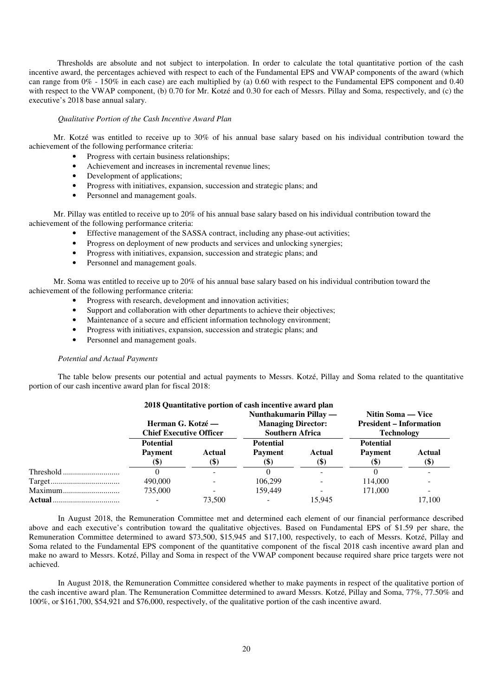Thresholds are absolute and not subject to interpolation. In order to calculate the total quantitative portion of the cash incentive award, the percentages achieved with respect to each of the Fundamental EPS and VWAP components of the award (which can range from  $0\%$  - 150% in each case) are each multiplied by (a) 0.60 with respect to the Fundamental EPS component and 0.40 with respect to the VWAP component, (b) 0.70 for Mr. Kotzé and 0.30 for each of Messrs. Pillay and Soma, respectively, and (c) the executive's 2018 base annual salary.

#### *Qualitative Portion of the Cash Incentive Award Plan*

Mr. Kotzé was entitled to receive up to 30% of his annual base salary based on his individual contribution toward the achievement of the following performance criteria:

- Progress with certain business relationships;
- Achievement and increases in incremental revenue lines;
- Development of applications;
- Progress with initiatives, expansion, succession and strategic plans; and
- Personnel and management goals.

Mr. Pillay was entitled to receive up to 20% of his annual base salary based on his individual contribution toward the achievement of the following performance criteria:

- Effective management of the SASSA contract, including any phase-out activities;
- Progress on deployment of new products and services and unlocking synergies;
- Progress with initiatives, expansion, succession and strategic plans; and
- Personnel and management goals.

Mr. Soma was entitled to receive up to 20% of his annual base salary based on his individual contribution toward the achievement of the following performance criteria:

- Progress with research, development and innovation activities;
- Support and collaboration with other departments to achieve their objectives;
- Maintenance of a secure and efficient information technology environment;
- Progress with initiatives, expansion, succession and strategic plans; and
- Personnel and management goals.

## *Potential and Actual Payments*

The table below presents our potential and actual payments to Messrs. Kotzé, Pillay and Soma related to the quantitative portion of our cash incentive award plan for fiscal 2018:

|           |                                             |        | 2018 Quantitative portion of cash incentive award plan |                            |                                |             |  |  |  |  |  |
|-----------|---------------------------------------------|--------|--------------------------------------------------------|----------------------------|--------------------------------|-------------|--|--|--|--|--|
|           | Nunthakumarin Pillay —<br>Nitin Soma — Vice |        |                                                        |                            |                                |             |  |  |  |  |  |
|           | Herman G. Kotzé —                           |        | <b>Managing Director:</b>                              |                            | <b>President – Information</b> |             |  |  |  |  |  |
|           | <b>Chief Executive Officer</b>              |        | <b>Southern Africa</b>                                 |                            | <b>Technology</b>              |             |  |  |  |  |  |
|           | <b>Potential</b>                            |        | <b>Potential</b>                                       |                            | <b>Potential</b>               |             |  |  |  |  |  |
|           | <b>Payment</b>                              | Actual | <b>Payment</b>                                         | Actual                     | <b>Payment</b>                 | Actual      |  |  |  |  |  |
|           | (\$)                                        | (\$)   | (\$)                                                   | $\left( \mathbb{S}\right)$ | <b>(\$)</b>                    | <b>(\$)</b> |  |  |  |  |  |
| Threshold |                                             |        |                                                        |                            |                                |             |  |  |  |  |  |
|           | 490,000                                     |        | 106.299                                                |                            | 114,000                        |             |  |  |  |  |  |
| Maximum   | 735,000                                     |        | 159.449                                                |                            | 171,000                        |             |  |  |  |  |  |
| Actual    |                                             | 73,500 |                                                        | 15.945                     |                                | 17.100      |  |  |  |  |  |

In August 2018, the Remuneration Committee met and determined each element of our financial performance described above and each executive's contribution toward the qualitative objectives. Based on Fundamental EPS of \$1.59 per share, the Remuneration Committee determined to award \$73,500, \$15,945 and \$17,100, respectively, to each of Messrs. Kotzé, Pillay and Soma related to the Fundamental EPS component of the quantitative component of the fiscal 2018 cash incentive award plan and make no award to Messrs. Kotzé, Pillay and Soma in respect of the VWAP component because required share price targets were not achieved.

In August 2018, the Remuneration Committee considered whether to make payments in respect of the qualitative portion of the cash incentive award plan. The Remuneration Committee determined to award Messrs. Kotzé, Pillay and Soma, 77%, 77.50% and 100%, or \$161,700, \$54,921 and \$76,000, respectively, of the qualitative portion of the cash incentive award.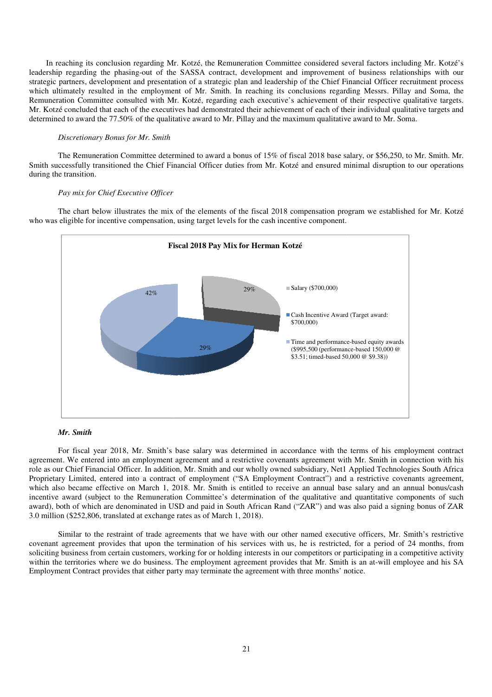In reaching its conclusion regarding Mr. Kotzé, the Remuneration Committee considered several factors including Mr. Kotzé's leadership regarding the phasing-out of the SASSA contract, development and improvement of business relationships with our leadership regarding the phasing-out of the SASSA contract, development and improvement of business relationships with our<br>strategic partners, development and presentation of a strategic plan and leadership of the Chief Fi which ultimately resulted in the employment of Mr. Smith. In reaching its conclusions regarding Messrs. Pillay and Soma, the which ultimately resulted in the employment of Mr. Smith. In reaching its conclusions regarding Messrs. Pillay and Soma, the<br>Remuneration Committee consulted with Mr. Kotzé, regarding each executive's achievement of their Mr. Kotzé concluded that each of the executives had demonstrated their achievement of each of their individual qualitative targets and determined to award the 77.50% of the qualitative award to Mr. Pillay and the maximum qualitative award ip of the Chief Financial Officer recruitment process<br>conclusions regarding Messrs. Pillay and Soma, the<br>s achievement of their respective qualitative targets.<br>nent of each of their individual qualitative targets and<br>ximum

### *Discretionary Bonus for Mr. Smith*

The Remuneration Committee determined to award a bonus of 15% of fiscal 2018 base salary, or \$56,250, to Mr. Smith. Mr. The Remuneration Committee determined to award a bonus of 15% of fiscal 2018 base salary, or \$56,250, to Mr. Smith. Mr.<br>Smith successfully transitioned the Chief Financial Officer duties from Mr. Kotzé and ensured minimal during the transition.

#### *Pay mix for Chief Executive Officer*

The chart below illustrates the mix of the elements of the fiscal 2018 compensation program we established for Mr. Kotzé who was eligible for incentive compensation, using target levels for the cash incentive component.



## *Mr. Smith*

For fiscal year 2018, Mr. Smith's base salary was determined in accordance with the terms of his employment contract agreement. We entered into an employment agreement and a restrictive covenants agreement with Mr. Smith in connection with his role as our Chief Financial Officer. In addition, Mr. Smith and our wholly owned subsidiary, Net1 Applied Technologies South Proprietary Limited, entered into a contract of employment ("SA Employment Contract") and a restrictive covenants agreement, Proprietary Limited, entered into a contract of employment ("SA Employment Contract") and a restrictive covenants agreement, which also became effective on March 1, 2018. Mr. Smith is entitled to receive an annual base sal incentive award (subject to the Remuneration Committee's determination of the qualitative and quantitative components of such award), both of which are denominated in USD and paid in South African Rand ("ZAR") and was also paid a signing bonus of ZAR 3.0 million (\$252,806, translated at exchange rates as of March 1, 2018). For fiscal year 2018, Mr. Smith's base salary was determined in accordance with the terms of his employment contract agreement. We entered into an employment agreement and a restrictive covenants agreement with Mr. Smith i our Chief Financial Officer. In addition, Mr. Smith and our wholly owned subsidiary, Net1 Applied Technologies South Africa ommittee's determination of the qualitative and quantitative components of such<br>nd paid in South African Rand ("ZAR") and was also paid a signing bonus of ZAR<br>as of March 1, 2018).<br>Ints that we have with our other named ex

Similar to the restraint of trade agreements that we have with our other named executive officers, Mr. covenant agreement provides that upon the termination of his services with us, he is restricted, for a period of 24 months, from soliciting business from certain customers, working for or holding interests in our competitors or participating in a competitive activity soliciting business from certain customers, working for or holding interests in our competitors or participating in a competitive activity<br>within the territories where we do business. The employment agreement provides that Employment Contract provides that either party may terminate the agreement with three months' notice. ,806, translated at exchange rates as of March 1, 2018).<br>to the restraint of trade agreements that we have with our other named executive officers, Mr. S<br>ent provides that upon the termination of his services with us, he i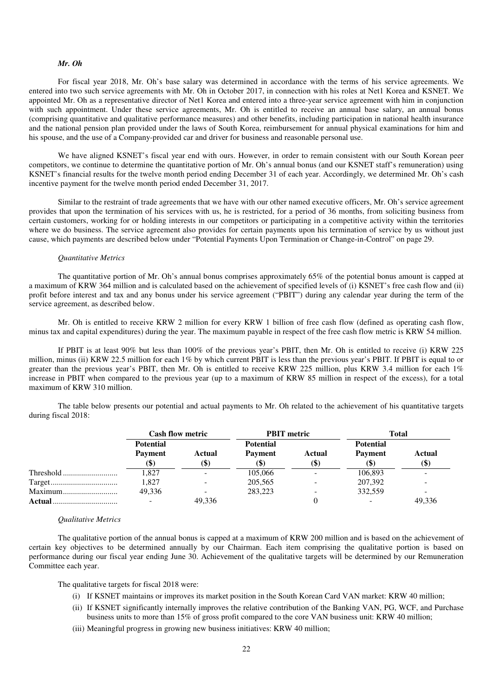## *Mr. Oh*

For fiscal year 2018, Mr. Oh's base salary was determined in accordance with the terms of his service agreements. We entered into two such service agreements with Mr. Oh in October 2017, in connection with his roles at Net1 Korea and KSNET. We appointed Mr. Oh as a representative director of Net1 Korea and entered into a three-year service agreement with him in conjunction with such appointment. Under these service agreements, Mr. Oh is entitled to receive an annual base salary, an annual bonus (comprising quantitative and qualitative performance measures) and other benefits, including participation in national health insurance and the national pension plan provided under the laws of South Korea, reimbursement for annual physical examinations for him and his spouse, and the use of a Company-provided car and driver for business and reasonable personal use.

We have aligned KSNET's fiscal year end with ours. However, in order to remain consistent with our South Korean peer competitors, we continue to determine the quantitative portion of Mr. Oh's annual bonus (and our KSNET staff's remuneration) using KSNET's financial results for the twelve month period ending December 31 of each year. Accordingly, we determined Mr. Oh's cash incentive payment for the twelve month period ended December 31, 2017.

Similar to the restraint of trade agreements that we have with our other named executive officers, Mr. Oh's service agreement provides that upon the termination of his services with us, he is restricted, for a period of 36 months, from soliciting business from certain customers, working for or holding interests in our competitors or participating in a competitive activity within the territories where we do business. The service agreement also provides for certain payments upon his termination of service by us without just cause, which payments are described below under "Potential Payments Upon Termination or Change-in-Control" on page 29.

### *Quantitative Metrics*

The quantitative portion of Mr. Oh's annual bonus comprises approximately 65% of the potential bonus amount is capped at a maximum of KRW 364 million and is calculated based on the achievement of specified levels of (i) KSNET's free cash flow and (ii) profit before interest and tax and any bonus under his service agreement ("PBIT") during any calendar year during the term of the service agreement, as described below.

Mr. Oh is entitled to receive KRW 2 million for every KRW 1 billion of free cash flow (defined as operating cash flow, minus tax and capital expenditures) during the year. The maximum payable in respect of the free cash flow metric is KRW 54 million.

If PBIT is at least 90% but less than 100% of the previous year's PBIT, then Mr. Oh is entitled to receive (i) KRW 225 million, minus (ii) KRW 22.5 million for each 1% by which current PBIT is less than the previous year's PBIT. If PBIT is equal to or greater than the previous year's PBIT, then Mr. Oh is entitled to receive KRW 225 million, plus KRW 3.4 million for each 1% increase in PBIT when compared to the previous year (up to a maximum of KRW 85 million in respect of the excess), for a total maximum of KRW 310 million.

The table below presents our potential and actual payments to Mr. Oh related to the achievement of his quantitative targets during fiscal 2018:

|          | <b>Cash flow metric</b> |               | <b>PBIT</b> metric |                | Total                 |                       |  |
|----------|-------------------------|---------------|--------------------|----------------|-----------------------|-----------------------|--|
|          | <b>Potential</b>        |               | <b>Potential</b>   |                | <b>Potential</b>      |                       |  |
|          | <b>Payment</b>          | Actual<br>(D) | <b>Payment</b>     | Actual<br>(\$) | <b>Payment</b><br>ID. | Actual<br><b>(\$)</b> |  |
|          | 1,827                   |               | 105,066            |                | 106,893               |                       |  |
|          | 1,827                   |               | 205,565            |                | 207,392               |                       |  |
| Maximum  | 49.336                  |               | 283.223            |                | 332,559               |                       |  |
| Actual . |                         | 49.336        |                    |                |                       | 49,336                |  |

#### *Qualitative Metrics*

The qualitative portion of the annual bonus is capped at a maximum of KRW 200 million and is based on the achievement of certain key objectives to be determined annually by our Chairman. Each item comprising the qualitative portion is based on performance during our fiscal year ending June 30. Achievement of the qualitative targets will be determined by our Remuneration Committee each year.

The qualitative targets for fiscal 2018 were:

- (i) If KSNET maintains or improves its market position in the South Korean Card VAN market: KRW 40 million;
- (ii) If KSNET significantly internally improves the relative contribution of the Banking VAN, PG, WCF, and Purchase business units to more than 15% of gross profit compared to the core VAN business unit: KRW 40 million;
- (iii) Meaningful progress in growing new business initiatives: KRW 40 million;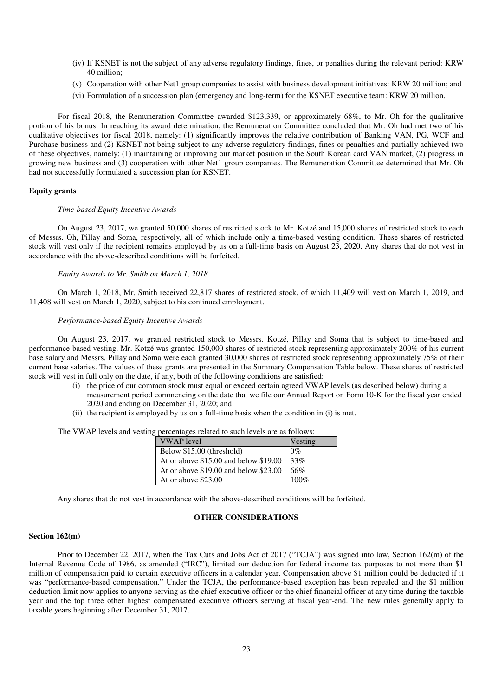- (iv) If KSNET is not the subject of any adverse regulatory findings, fines, or penalties during the relevant period: KRW 40 million;
- (v) Cooperation with other Net1 group companies to assist with business development initiatives: KRW 20 million; and
- (vi) Formulation of a succession plan (emergency and long-term) for the KSNET executive team: KRW 20 million.

For fiscal 2018, the Remuneration Committee awarded \$123,339, or approximately 68%, to Mr. Oh for the qualitative portion of his bonus. In reaching its award determination, the Remuneration Committee concluded that Mr. Oh had met two of his qualitative objectives for fiscal 2018, namely: (1) significantly improves the relative contribution of Banking VAN, PG, WCF and Purchase business and (2) KSNET not being subject to any adverse regulatory findings, fines or penalties and partially achieved two of these objectives, namely: (1) maintaining or improving our market position in the South Korean card VAN market, (2) progress in growing new business and (3) cooperation with other Net1 group companies. The Remuneration Committee determined that Mr. Oh had not successfully formulated a succession plan for KSNET.

## **Equity grants**

#### *Time-based Equity Incentive Awards*

On August 23, 2017, we granted 50,000 shares of restricted stock to Mr. Kotzé and 15,000 shares of restricted stock to each of Messrs. Oh, Pillay and Soma, respectively, all of which include only a time-based vesting condition. These shares of restricted stock will vest only if the recipient remains employed by us on a full-time basis on August 23, 2020. Any shares that do not vest in accordance with the above-described conditions will be forfeited.

### *Equity Awards to Mr. Smith on March 1, 2018*

On March 1, 2018, Mr. Smith received 22,817 shares of restricted stock, of which 11,409 will vest on March 1, 2019, and 11,408 will vest on March 1, 2020, subject to his continued employment.

### *Performance-based Equity Incentive Awards*

On August 23, 2017, we granted restricted stock to Messrs. Kotzé, Pillay and Soma that is subject to time-based and performance-based vesting. Mr. Kotzé was granted 150,000 shares of restricted stock representing approximately 200% of his current base salary and Messrs. Pillay and Soma were each granted 30,000 shares of restricted stock representing approximately 75% of their current base salaries. The values of these grants are presented in the Summary Compensation Table below. These shares of restricted stock will vest in full only on the date, if any, both of the following conditions are satisfied:

- (i) the price of our common stock must equal or exceed certain agreed VWAP levels (as described below) during a measurement period commencing on the date that we file our Annual Report on Form 10-K for the fiscal year ended 2020 and ending on December 31, 2020; and
- (ii) the recipient is employed by us on a full-time basis when the condition in (i) is met.

The VWAP levels and vesting percentages related to such levels are as follows:

| <b>VWAP</b> level                       | Vesting |
|-----------------------------------------|---------|
| Below \$15.00 (threshold)               | $0\%$   |
| At or above $$15.00$ and below $$19.00$ | 33%     |
| At or above $$19.00$ and below $$23.00$ | 66%     |
| At or above \$23.00                     | $100\%$ |

Any shares that do not vest in accordance with the above-described conditions will be forfeited.

### **OTHER CONSIDERATIONS**

#### **Section 162(m)**

Prior to December 22, 2017, when the Tax Cuts and Jobs Act of 2017 ("TCJA") was signed into law, Section 162(m) of the Internal Revenue Code of 1986, as amended ("IRC"), limited our deduction for federal income tax purposes to not more than \$1 million of compensation paid to certain executive officers in a calendar year. Compensation above \$1 million could be deducted if it was "performance-based compensation." Under the TCJA, the performance-based exception has been repealed and the \$1 million deduction limit now applies to anyone serving as the chief executive officer or the chief financial officer at any time during the taxable year and the top three other highest compensated executive officers serving at fiscal year-end. The new rules generally apply to taxable years beginning after December 31, 2017.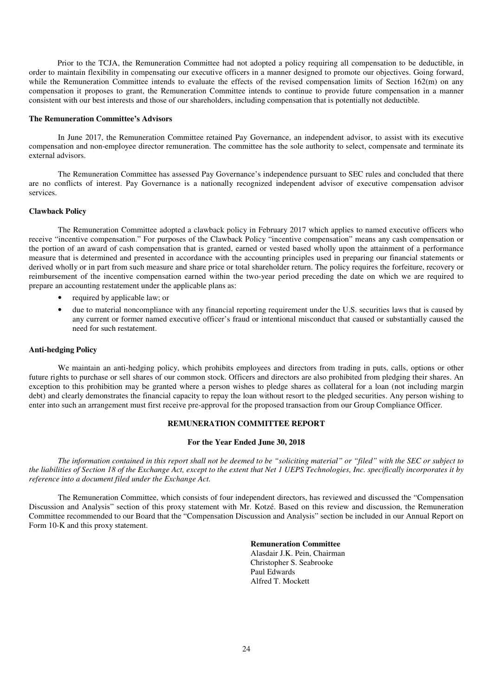Prior to the TCJA, the Remuneration Committee had not adopted a policy requiring all compensation to be deductible, in order to maintain flexibility in compensating our executive officers in a manner designed to promote our objectives. Going forward, while the Remuneration Committee intends to evaluate the effects of the revised compensation limits of Section 162(m) on any compensation it proposes to grant, the Remuneration Committee intends to continue to provide future compensation in a manner consistent with our best interests and those of our shareholders, including compensation that is potentially not deductible.

### **The Remuneration Committee's Advisors**

In June 2017, the Remuneration Committee retained Pay Governance, an independent advisor, to assist with its executive compensation and non-employee director remuneration. The committee has the sole authority to select, compensate and terminate its external advisors.

The Remuneration Committee has assessed Pay Governance's independence pursuant to SEC rules and concluded that there are no conflicts of interest. Pay Governance is a nationally recognized independent advisor of executive compensation advisor services.

### **Clawback Policy**

The Remuneration Committee adopted a clawback policy in February 2017 which applies to named executive officers who receive "incentive compensation." For purposes of the Clawback Policy "incentive compensation" means any cash compensation or the portion of an award of cash compensation that is granted, earned or vested based wholly upon the attainment of a performance measure that is determined and presented in accordance with the accounting principles used in preparing our financial statements or derived wholly or in part from such measure and share price or total shareholder return. The policy requires the forfeiture, recovery or reimbursement of the incentive compensation earned within the two-year period preceding the date on which we are required to prepare an accounting restatement under the applicable plans as:

- required by applicable law; or
- due to material noncompliance with any financial reporting requirement under the U.S. securities laws that is caused by any current or former named executive officer's fraud or intentional misconduct that caused or substantially caused the need for such restatement.

## **Anti-hedging Policy**

We maintain an anti-hedging policy, which prohibits employees and directors from trading in puts, calls, options or other future rights to purchase or sell shares of our common stock. Officers and directors are also prohibited from pledging their shares. An exception to this prohibition may be granted where a person wishes to pledge shares as collateral for a loan (not including margin debt) and clearly demonstrates the financial capacity to repay the loan without resort to the pledged securities. Any person wishing to enter into such an arrangement must first receive pre-approval for the proposed transaction from our Group Compliance Officer.

# **REMUNERATION COMMITTEE REPORT**

### **For the Year Ended June 30, 2018**

*The information contained in this report shall not be deemed to be "soliciting material" or "filed" with the SEC or subject to the liabilities of Section 18 of the Exchange Act, except to the extent that Net 1 UEPS Technologies, Inc. specifically incorporates it by reference into a document filed under the Exchange Act.* 

The Remuneration Committee, which consists of four independent directors, has reviewed and discussed the "Compensation Discussion and Analysis" section of this proxy statement with Mr. Kotzé. Based on this review and discussion, the Remuneration Committee recommended to our Board that the "Compensation Discussion and Analysis" section be included in our Annual Report on Form 10-K and this proxy statement.

### **Remuneration Committee**

Alasdair J.K. Pein, Chairman Christopher S. Seabrooke Paul Edwards Alfred T. Mockett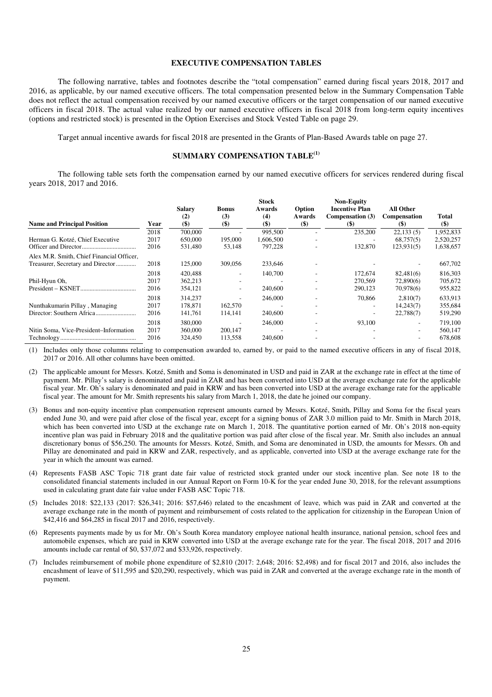## **EXECUTIVE COMPENSATION TABLES**

The following narrative, tables and footnotes describe the "total compensation" earned during fiscal years 2018, 2017 and 2016, as applicable, by our named executive officers. The total compensation presented below in the Summary Compensation Table does not reflect the actual compensation received by our named executive officers or the target compensation of our named executive officers in fiscal 2018. The actual value realized by our named executive officers in fiscal 2018 from long-term equity incentives (options and restricted stock) is presented in the Option Exercises and Stock Vested Table on page 29.

Target annual incentive awards for fiscal 2018 are presented in the Grants of Plan-Based Awards table on page 27.

### **SUMMARY COMPENSATION TABLE(1)**

The following table sets forth the compensation earned by our named executive officers for services rendered during fiscal years 2018, 2017 and 2016.

| <b>Name and Principal Position</b>        | Year                 | <b>Salary</b><br>(2)<br>$($ \$ | <b>Bonus</b><br>(3)<br>$($)$ | <b>Stock</b><br>Awards<br>(4)<br>$($ \$ | Option<br>Awards<br>$($)$ | <b>Non-Equity</b><br><b>Incentive Plan</b><br>Compensation (3)<br>$($)$ | All Other<br><b>Compensation</b><br>$\left( \mathbb{S}\right)$ | Total<br>$($)$                |
|-------------------------------------------|----------------------|--------------------------------|------------------------------|-----------------------------------------|---------------------------|-------------------------------------------------------------------------|----------------------------------------------------------------|-------------------------------|
|                                           | 2018                 | 700,000                        |                              | 995,500                                 |                           | 235,200                                                                 | 22,133(5)                                                      | 1,952,833                     |
| Herman G. Kotzé, Chief Executive          | 2017<br>2016         | 650,000<br>531,480             | 195,000<br>53,148            | 1,606,500<br>797,228                    |                           | 132,870                                                                 | 68,757(5)<br>123,931(5)                                        | 2,520,257<br>1,638,657        |
| Alex M.R. Smith, Chief Financial Officer, |                      |                                |                              |                                         |                           |                                                                         |                                                                |                               |
| Treasurer, Secretary and Director         | 2018                 | 125,000                        | 309,056                      | 233,646                                 |                           |                                                                         |                                                                | 667,702                       |
| Phil-Hyun Oh,                             | 2018<br>2017         | 420.488<br>362,213             | ۰                            | 140,700                                 |                           | 172,674<br>270,569                                                      | 82,481(6)<br>72,890(6)                                         | 816,303<br>705,672            |
|                                           | 2016                 | 354,121                        | ۰                            | 240,600                                 |                           | 290,123                                                                 | 70,978(6)                                                      | 955,822                       |
| Nunthakumarin Pillay, Managing            | 2018<br>2017<br>2016 | 314,237<br>178.871<br>141,761  | 162,570<br>114,141           | 246,000<br>240,600                      |                           | 70,866                                                                  | 2,810(7)<br>14,243(7)<br>22,788(7)                             | 633,913<br>355,684<br>519,290 |
| Nitin Soma, Vice-President-Information    | 2018<br>2017<br>2016 | 380,000<br>360,000<br>324,450  | 200,147<br>113,558           | 246,000<br>240,600                      |                           | 93.100                                                                  | ۰.<br>۰                                                        | 719,100<br>560,147<br>678,608 |

(1) Includes only those columns relating to compensation awarded to, earned by, or paid to the named executive officers in any of fiscal 2018, 2017 or 2016. All other columns have been omitted.

(2) The applicable amount for Messrs. Kotzé, Smith and Soma is denominated in USD and paid in ZAR at the exchange rate in effect at the time of payment. Mr. Pillay's salary is denominated and paid in ZAR and has been converted into USD at the average exchange rate for the applicable fiscal year. Mr. Oh's salary is denominated and paid in KRW and has been converted into USD at the average exchange rate for the applicable fiscal year. The amount for Mr. Smith represents his salary from March 1, 2018, the date he joined our company.

- (3) Bonus and non-equity incentive plan compensation represent amounts earned by Messrs. Kotzé, Smith, Pillay and Soma for the fiscal years ended June 30, and were paid after close of the fiscal year, except for a signing bonus of ZAR 3.0 million paid to Mr. Smith in March 2018, which has been converted into USD at the exchange rate on March 1, 2018. The quantitative portion earned of Mr. Oh's 2018 non-equity incentive plan was paid in February 2018 and the qualitative portion was paid after close of the fiscal year. Mr. Smith also includes an annual discretionary bonus of \$56,250. The amounts for Messrs. Kotzé, Smith, and Soma are denominated in USD, the amounts for Messrs. Oh and Pillay are denominated and paid in KRW and ZAR, respectively, and as applicable, converted into USD at the average exchange rate for the year in which the amount was earned.
- (4) Represents FASB ASC Topic 718 grant date fair value of restricted stock granted under our stock incentive plan. See note 18 to the consolidated financial statements included in our Annual Report on Form 10-K for the year ended June 30, 2018, for the relevant assumptions used in calculating grant date fair value under FASB ASC Topic 718.
- (5) Includes 2018: \$22,133 (2017: \$26,341; 2016: \$57,646) related to the encashment of leave, which was paid in ZAR and converted at the average exchange rate in the month of payment and reimbursement of costs related to the application for citizenship in the European Union of \$42,416 and \$64,285 in fiscal 2017 and 2016, respectively.
- (6) Represents payments made by us for Mr. Oh's South Korea mandatory employee national health insurance, national pension, school fees and automobile expenses, which are paid in KRW converted into USD at the average exchange rate for the year. The fiscal 2018, 2017 and 2016 amounts include car rental of \$0, \$37,072 and \$33,926, respectively.
- (7) Includes reimbursement of mobile phone expenditure of \$2,810 (2017: 2,648; 2016: \$2,498) and for fiscal 2017 and 2016, also includes the encashment of leave of \$11,595 and \$20,290, respectively, which was paid in ZAR and converted at the average exchange rate in the month of payment.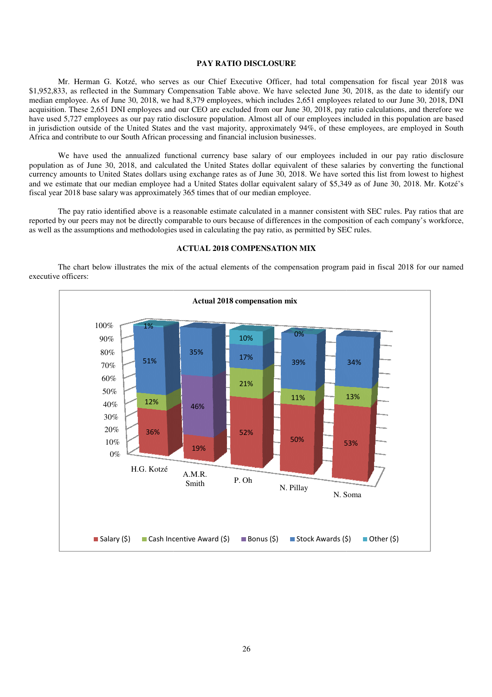## **PAY RATIO DISCLOSURE**

Mr. Herman G. Kotzé, who serves as Mr. Herman G. Kotzé, who serves as our Chief Executive Officer, had total compensation for for fiscal year 2018 was \$1,952,833, as reflected in the Summary Compensation Table above. We have selected June 30, 2018, as the date to identify our \$1,952,833, as reflected in the Summary Compensation Table above. We have selected June 30, 2018, as the date to identify our median employee. As of June 30, 2018, we had 8,379 employees, which includes 2,651 employees rel median employee. As of June 30, 2018, we had 8,379 employees, which includes 2,651 employees related to our June 30, 2018, DNI<br>acquisition. These 2,651 DNI employees and our CEO are excluded from our June 30, 2018, pay rat have used 5,727 employees as our pay ratio disclosure population. Almost all of our employees included in this population are based in jurisdiction outside of the United States and the vast majority, approximately 94%, of these employees, are employed in South Africa and contribute to our South African processing and financial inclusion businesses.

Africa and contribute to our South African processing and financial inclusion businesses.<br>We have used the annualized functional currency base salary of our employees included in our pay ratio disclosure population as of June 30, 2018, and calculated the United States dollar equivalent of these salaries by converting the functional population as of June 30, 2018, and calculated the United States dollar equivalent of these salaries by converting the functional<br>currency amounts to United States dollars using exchange rates as of June 30, 2018. We have and we estimate that our median employee had a United States dollar equivalent salary of \$5,349 as of June 30, 2018. Mr. Kotzé's fiscal year 2018 base salary was approximately 365 times that of our median employee. fiscal year 2018 base salary was approximately 365 times that of our median employee.

The pay ratio identified above is a reasonable estimate calculated in a manner consistent with SEC rules. Pay ratios that are reported by our peers may not be directly comparable to ours because of differences in the composition of each company's work as well as the assumptions and methodologies used in calculating the pay ratio, as permitted by SEC rules. The pay ratio identified above is a reasonable estimate calculated in a manner consistent with SEC rules. Pay ratios that are reported by our peers may not be directly comparable to ours because of differences in the compo



#### **ACTUAL 2018 COMPENSATION MIX**

The chart below illustrates the mix of the actual elements of the compensation program paid in fiscal 2018 for our named executive officers: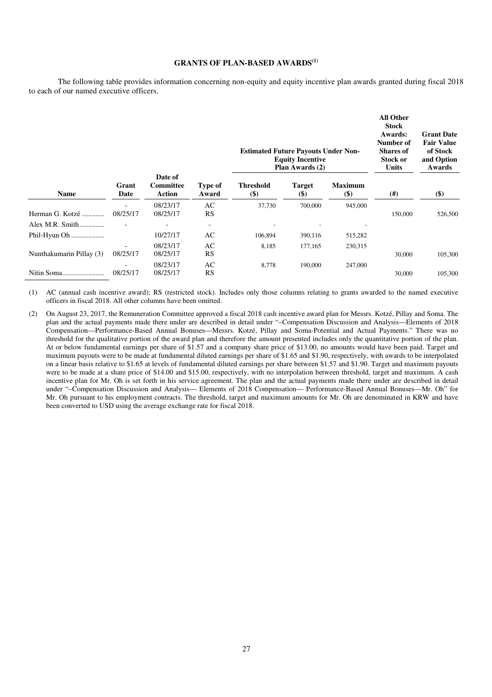# **GRANTS OF PLAN-BASED AWARDS(1)**

The following table provides information concerning non-equity and equity incentive plan awards granted during fiscal 2018 to each of our named executive officers.

|                          |                                      |                                       | <b>Estimated Future Payouts Under Non-</b><br><b>Equity Incentive</b><br>Plan Awards (2) |                            |                        |                          | <b>All Other</b><br><b>Stock</b><br>Awards:<br>Number of<br><b>Shares of</b><br>Stock or<br>Units | <b>Grant Date</b><br><b>Fair Value</b><br>of Stock<br>and Option<br>Awards |
|--------------------------|--------------------------------------|---------------------------------------|------------------------------------------------------------------------------------------|----------------------------|------------------------|--------------------------|---------------------------------------------------------------------------------------------------|----------------------------------------------------------------------------|
| <b>Name</b>              | Grant<br>Date                        | Date of<br><b>Committee</b><br>Action | Type of<br>Award                                                                         | <b>Threshold</b><br>$(\$)$ | <b>Target</b><br>$($)$ | <b>Maximum</b><br>$($ \$ | $^{(#)}$                                                                                          | \$)                                                                        |
|                          | ٠                                    | 08/23/17                              | AC                                                                                       | 37,730                     | 700,000                | 945,000                  |                                                                                                   |                                                                            |
| Herman G. Kotzé          | 08/25/17                             | 08/25/17                              | RS                                                                                       |                            |                        |                          | 150,000                                                                                           | 526,500                                                                    |
| Alex M.R. Smith          |                                      |                                       |                                                                                          |                            |                        |                          |                                                                                                   |                                                                            |
| Phil-Hyun Oh             |                                      | 10/27/17                              | AC                                                                                       | 106,894                    | 390,116                | 515,282                  |                                                                                                   |                                                                            |
| Nunthakumarin Pillay (3) | $\overline{\phantom{a}}$<br>08/25/17 | 08/23/17<br>08/25/17                  | AC<br>RS                                                                                 | 8,185                      | 177,165                | 230,315                  | 30,000                                                                                            | 105,300                                                                    |
|                          |                                      | 08/23/17                              | AC                                                                                       | 8,778                      | 190,000                | 247,000                  |                                                                                                   |                                                                            |
|                          | 08/25/17                             | 08/25/17                              | RS                                                                                       |                            |                        |                          | 30,000                                                                                            | 105,300                                                                    |

(1) AC (annual cash incentive award); RS (restricted stock). Includes only those columns relating to grants awarded to the named executive officers in fiscal 2018. All other columns have been omitted.

(2) On August 23, 2017, the Remuneration Committee approved a fiscal 2018 cash incentive award plan for Messrs. Kotzé, Pillay and Soma. The plan and the actual payments made there under are described in detail under "–Compensation Discussion and Analysis—Elements of 2018 Compensation—Performance-Based Annual Bonuses—Messrs. Kotzé, Pillay and Soma-Potential and Actual Payments." There was no threshold for the qualitative portion of the award plan and therefore the amount presented includes only the quantitative portion of the plan. At or below fundamental earnings per share of \$1.57 and a company share price of \$13.00, no amounts would have been paid. Target and maximum payouts were to be made at fundamental diluted earnings per share of \$1.65 and \$1.90, respectively, with awards to be interpolated on a linear basis relative to \$1.65 at levels of fundamental diluted earnings per share between \$1.57 and \$1.90. Target and maximum payouts were to be made at a share price of \$14.00 and \$15.00, respectively, with no interpolation between threshold, target and maximum. A cash incentive plan for Mr. Oh is set forth in his service agreement. The plan and the actual payments made there under are described in detail under "–Compensation Discussion and Analysis— Elements of 2018 Compensation— Performance-Based Annual Bonuses—Mr. Oh" for Mr. Oh pursuant to his employment contracts. The threshold, target and maximum amounts for Mr. Oh are denominated in KRW and have been converted to USD using the average exchange rate for fiscal 2018.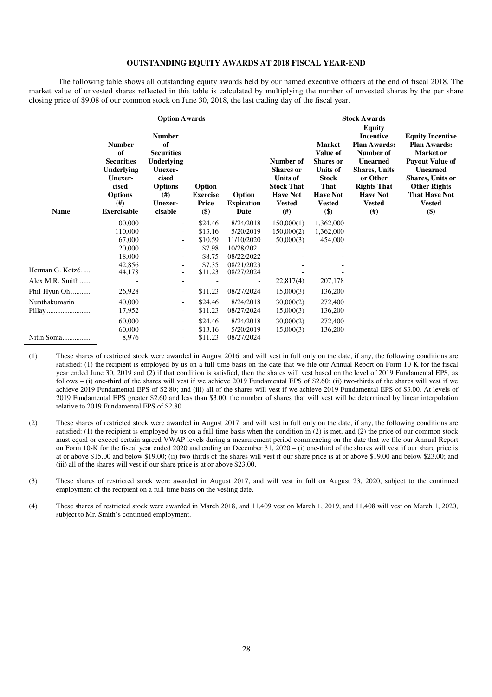## **OUTSTANDING EQUITY AWARDS AT 2018 FISCAL YEAR-END**

The following table shows all outstanding equity awards held by our named executive officers at the end of fiscal 2018. The market value of unvested shares reflected in this table is calculated by multiplying the number of unvested shares by the per share closing price of \$9.08 of our common stock on June 30, 2018, the last trading day of the fiscal year.

|                  |                                                                                                                                   | <b>Option Awards</b>                                                                                                      |                                             |                                     |                                                                                                                   |                                                                                                                                         |                                                                                                                                                                                                  |                                                                                                                                                                                                            |
|------------------|-----------------------------------------------------------------------------------------------------------------------------------|---------------------------------------------------------------------------------------------------------------------------|---------------------------------------------|-------------------------------------|-------------------------------------------------------------------------------------------------------------------|-----------------------------------------------------------------------------------------------------------------------------------------|--------------------------------------------------------------------------------------------------------------------------------------------------------------------------------------------------|------------------------------------------------------------------------------------------------------------------------------------------------------------------------------------------------------------|
| <b>Name</b>      | <b>Number</b><br>of<br><b>Securities</b><br><b>Underlying</b><br>Unexer-<br>cised<br><b>Options</b><br>(# )<br><b>Exercisable</b> | <b>Number</b><br>of<br><b>Securities</b><br>Underlying<br>Unexer-<br>cised<br><b>Options</b><br>(#)<br>Unexer-<br>cisable | Option<br><b>Exercise</b><br>Price<br>$($)$ | Option<br><b>Expiration</b><br>Date | Number of<br><b>Shares</b> or<br><b>Units of</b><br><b>Stock That</b><br><b>Have Not</b><br><b>Vested</b><br>(# ) | <b>Market</b><br>Value of<br><b>Shares</b> or<br><b>Units of</b><br><b>Stock</b><br>That<br><b>Have Not</b><br><b>Vested</b><br>$($ \$) | <b>Equity</b><br><b>Incentive</b><br><b>Plan Awards:</b><br>Number of<br><b>Unearned</b><br><b>Shares, Units</b><br>or Other<br><b>Rights That</b><br><b>Have Not</b><br><b>Vested</b><br>$(\#)$ | <b>Equity Incentive</b><br><b>Plan Awards:</b><br><b>Market</b> or<br>Payout Value of<br><b>Unearned</b><br><b>Shares, Units or</b><br><b>Other Rights</b><br><b>That Have Not</b><br><b>Vested</b><br>\$) |
|                  | 100,000                                                                                                                           | $\overline{\phantom{a}}$                                                                                                  | \$24.46                                     | 8/24/2018                           | 150,000(1)                                                                                                        | 1,362,000                                                                                                                               |                                                                                                                                                                                                  |                                                                                                                                                                                                            |
|                  | 110,000                                                                                                                           | $\overline{\phantom{a}}$                                                                                                  | \$13.16                                     | 5/20/2019                           | 150,000(2)                                                                                                        | 1,362,000                                                                                                                               |                                                                                                                                                                                                  |                                                                                                                                                                                                            |
|                  | 67,000                                                                                                                            | $\overline{\phantom{0}}$                                                                                                  | \$10.59                                     | 11/10/2020                          | 50,000(3)                                                                                                         | 454,000                                                                                                                                 |                                                                                                                                                                                                  |                                                                                                                                                                                                            |
|                  | 20,000                                                                                                                            | $\overline{\phantom{a}}$                                                                                                  | \$7.98                                      | 10/28/2021                          |                                                                                                                   |                                                                                                                                         |                                                                                                                                                                                                  |                                                                                                                                                                                                            |
|                  | 18,000                                                                                                                            | $\overline{\phantom{0}}$                                                                                                  | \$8.75                                      | 08/22/2022                          |                                                                                                                   |                                                                                                                                         |                                                                                                                                                                                                  |                                                                                                                                                                                                            |
| Herman G. Kotzé. | 42,856<br>44,178                                                                                                                  | $\overline{\phantom{0}}$                                                                                                  | \$7.35<br>\$11.23                           | 08/21/2023<br>08/27/2024            |                                                                                                                   |                                                                                                                                         |                                                                                                                                                                                                  |                                                                                                                                                                                                            |
| Alex M.R. Smith  |                                                                                                                                   | $\overline{\phantom{0}}$                                                                                                  |                                             |                                     | 22,817(4)                                                                                                         | 207,178                                                                                                                                 |                                                                                                                                                                                                  |                                                                                                                                                                                                            |
| Phil-Hyun Oh     | 26,928                                                                                                                            | -                                                                                                                         | \$11.23                                     | 08/27/2024                          | 15,000(3)                                                                                                         | 136,200                                                                                                                                 |                                                                                                                                                                                                  |                                                                                                                                                                                                            |
| Nunthakumarin    | 40,000                                                                                                                            | $\overline{\phantom{0}}$                                                                                                  | \$24.46                                     | 8/24/2018                           | 30,000(2)                                                                                                         | 272,400                                                                                                                                 |                                                                                                                                                                                                  |                                                                                                                                                                                                            |
| Pillay           | 17,952                                                                                                                            | $\overline{\phantom{0}}$                                                                                                  | \$11.23                                     | 08/27/2024                          | 15,000(3)                                                                                                         | 136,200                                                                                                                                 |                                                                                                                                                                                                  |                                                                                                                                                                                                            |
|                  | 60,000                                                                                                                            | $\overline{\phantom{a}}$                                                                                                  | \$24.46                                     | 8/24/2018                           | 30,000(2)                                                                                                         | 272,400                                                                                                                                 |                                                                                                                                                                                                  |                                                                                                                                                                                                            |
|                  | 60,000                                                                                                                            | $\overline{\phantom{0}}$                                                                                                  | \$13.16                                     | 5/20/2019                           | 15,000(3)                                                                                                         | 136,200                                                                                                                                 |                                                                                                                                                                                                  |                                                                                                                                                                                                            |
| Nitin Soma       | 8,976                                                                                                                             | $\overline{\phantom{0}}$                                                                                                  | \$11.23                                     | 08/27/2024                          |                                                                                                                   |                                                                                                                                         |                                                                                                                                                                                                  |                                                                                                                                                                                                            |

(1) These shares of restricted stock were awarded in August 2016, and will vest in full only on the date, if any, the following conditions are satisfied: (1) the recipient is employed by us on a full-time basis on the date that we file our Annual Report on Form 10-K for the fiscal year ended June 30, 2019 and (2) if that condition is satisfied, then the shares will vest based on the level of 2019 Fundamental EPS, as follows – (i) one-third of the shares will vest if we achieve 2019 Fundamental EPS of \$2.60; (ii) two-thirds of the shares will vest if we achieve 2019 Fundamental EPS of \$2.80; and (iii) all of the shares will vest if we achieve 2019 Fundamental EPS of \$3.00. At levels of 2019 Fundamental EPS greater \$2.60 and less than \$3.00, the number of shares that will vest will be determined by linear interpolation relative to 2019 Fundamental EPS of \$2.80.

- (2) These shares of restricted stock were awarded in August 2017, and will vest in full only on the date, if any, the following conditions are satisfied: (1) the recipient is employed by us on a full-time basis when the condition in (2) is met, and (2) the price of our common stock must equal or exceed certain agreed VWAP levels during a measurement period commencing on the date that we file our Annual Report on Form 10-K for the fiscal year ended 2020 and ending on December 31, 2020 – (i) one-third of the shares will vest if our share price is at or above \$15.00 and below \$19.00; (ii) two-thirds of the shares will vest if our share price is at or above \$19.00 and below \$23.00; and (iii) all of the shares will vest if our share price is at or above \$23.00.
- (3) These shares of restricted stock were awarded in August 2017, and will vest in full on August 23, 2020, subject to the continued employment of the recipient on a full-time basis on the vesting date.
- (4) These shares of restricted stock were awarded in March 2018, and 11,409 vest on March 1, 2019, and 11,408 will vest on March 1, 2020, subject to Mr. Smith's continued employment.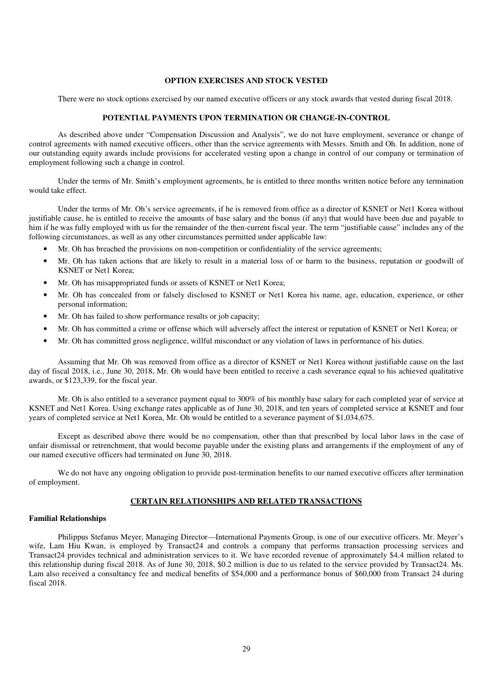# **OPTION EXERCISES AND STOCK VESTED**

There were no stock options exercised by our named executive officers or any stock awards that vested during fiscal 2018.

### **POTENTIAL PAYMENTS UPON TERMINATION OR CHANGE-IN-CONTROL**

As described above under "Compensation Discussion and Analysis", we do not have employment, severance or change of control agreements with named executive officers, other than the service agreements with Messrs. Smith and Oh. In addition, none of our outstanding equity awards include provisions for accelerated vesting upon a change in control of our company or termination of employment following such a change in control.

Under the terms of Mr. Smith's employment agreements, he is entitled to three months written notice before any termination would take effect.

Under the terms of Mr. Oh's service agreements, if he is removed from office as a director of KSNET or Net1 Korea without justifiable cause, he is entitled to receive the amounts of base salary and the bonus (if any) that would have been due and payable to him if he was fully employed with us for the remainder of the then-current fiscal year. The term "justifiable cause" includes any of the following circumstances, as well as any other circumstances permitted under applicable law:

- Mr. Oh has breached the provisions on non-competition or confidentiality of the service agreements;
- Mr. Oh has taken actions that are likely to result in a material loss of or harm to the business, reputation or goodwill of KSNET or Net1 Korea;
- Mr. Oh has misappropriated funds or assets of KSNET or Net1 Korea;
- Mr. Oh has concealed from or falsely disclosed to KSNET or Net1 Korea his name, age, education, experience, or other personal information;
- Mr. Oh has failed to show performance results or job capacity;
- Mr. Oh has committed a crime or offense which will adversely affect the interest or reputation of KSNET or Net1 Korea; or
- Mr. Oh has committed gross negligence, willful misconduct or any violation of laws in performance of his duties.

Assuming that Mr. Oh was removed from office as a director of KSNET or Net1 Korea without justifiable cause on the last day of fiscal 2018, i.e., June 30, 2018, Mr. Oh would have been entitled to receive a cash severance equal to his achieved qualitative awards, or \$123,339, for the fiscal year.

Mr. Oh is also entitled to a severance payment equal to 300% of his monthly base salary for each completed year of service at KSNET and Net1 Korea. Using exchange rates applicable as of June 30, 2018, and ten years of completed service at KSNET and four years of completed service at Net1 Korea, Mr. Oh would be entitled to a severance payment of \$1,034,675.

Except as described above there would be no compensation, other than that prescribed by local labor laws in the case of unfair dismissal or retrenchment, that would become payable under the existing plans and arrangements if the employment of any of our named executive officers had terminated on June 30, 2018.

We do not have any ongoing obligation to provide post-termination benefits to our named executive officers after termination of employment.

### **CERTAIN RELATIONSHIPS AND RELATED TRANSACTIONS**

### **Familial Relationships**

Philippus Stefanus Meyer, Managing Director—International Payments Group, is one of our executive officers. Mr. Meyer's wife, Lam Hiu Kwan, is employed by Transact24 and controls a company that performs transaction processing services and Transact24 provides technical and administration services to it. We have recorded revenue of approximately \$4.4 million related to this relationship during fiscal 2018. As of June 30, 2018, \$0.2 million is due to us related to the service provided by Transact24. Ms. Lam also received a consultancy fee and medical benefits of \$54,000 and a performance bonus of \$60,000 from Transact 24 during fiscal 2018.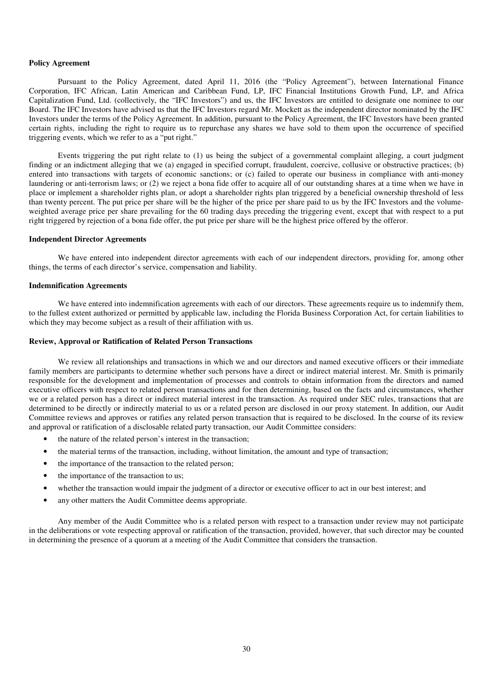### **Policy Agreement**

Pursuant to the Policy Agreement, dated April 11, 2016 (the "Policy Agreement"), between International Finance Corporation, IFC African, Latin American and Caribbean Fund, LP, IFC Financial Institutions Growth Fund, LP, and Africa Capitalization Fund, Ltd. (collectively, the "IFC Investors") and us, the IFC Investors are entitled to designate one nominee to our Board. The IFC Investors have advised us that the IFC Investors regard Mr. Mockett as the independent director nominated by the IFC Investors under the terms of the Policy Agreement. In addition, pursuant to the Policy Agreement, the IFC Investors have been granted certain rights, including the right to require us to repurchase any shares we have sold to them upon the occurrence of specified triggering events, which we refer to as a "put right."

Events triggering the put right relate to (1) us being the subject of a governmental complaint alleging, a court judgment finding or an indictment alleging that we (a) engaged in specified corrupt, fraudulent, coercive, collusive or obstructive practices; (b) entered into transactions with targets of economic sanctions; or (c) failed to operate our business in compliance with anti-money laundering or anti-terrorism laws; or (2) we reject a bona fide offer to acquire all of our outstanding shares at a time when we have in place or implement a shareholder rights plan, or adopt a shareholder rights plan triggered by a beneficial ownership threshold of less than twenty percent. The put price per share will be the higher of the price per share paid to us by the IFC Investors and the volumeweighted average price per share prevailing for the 60 trading days preceding the triggering event, except that with respect to a put right triggered by rejection of a bona fide offer, the put price per share will be the highest price offered by the offeror.

## **Independent Director Agreements**

We have entered into independent director agreements with each of our independent directors, providing for, among other things, the terms of each director's service, compensation and liability.

## **Indemnification Agreements**

We have entered into indemnification agreements with each of our directors. These agreements require us to indemnify them, to the fullest extent authorized or permitted by applicable law, including the Florida Business Corporation Act, for certain liabilities to which they may become subject as a result of their affiliation with us.

### **Review, Approval or Ratification of Related Person Transactions**

We review all relationships and transactions in which we and our directors and named executive officers or their immediate family members are participants to determine whether such persons have a direct or indirect material interest. Mr. Smith is primarily responsible for the development and implementation of processes and controls to obtain information from the directors and named executive officers with respect to related person transactions and for then determining, based on the facts and circumstances, whether we or a related person has a direct or indirect material interest in the transaction. As required under SEC rules, transactions that are determined to be directly or indirectly material to us or a related person are disclosed in our proxy statement. In addition, our Audit Committee reviews and approves or ratifies any related person transaction that is required to be disclosed. In the course of its review and approval or ratification of a disclosable related party transaction, our Audit Committee considers:

- the nature of the related person's interest in the transaction;
- the material terms of the transaction, including, without limitation, the amount and type of transaction;
- the importance of the transaction to the related person;
- the importance of the transaction to us;
- whether the transaction would impair the judgment of a director or executive officer to act in our best interest; and
- any other matters the Audit Committee deems appropriate.

Any member of the Audit Committee who is a related person with respect to a transaction under review may not participate in the deliberations or vote respecting approval or ratification of the transaction, provided, however, that such director may be counted in determining the presence of a quorum at a meeting of the Audit Committee that considers the transaction.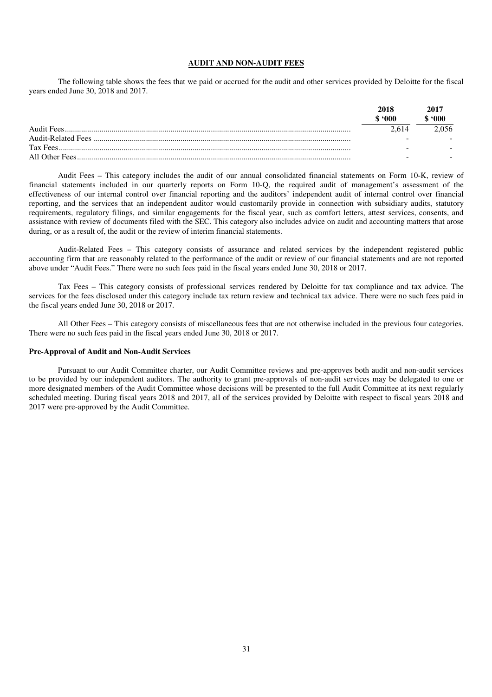## **AUDIT AND NON-AUDIT FEES**

The following table shows the fees that we paid or accrued for the audit and other services provided by Deloitte for the fiscal years ended June 30, 2018 and 2017.

|            | 2018  | 2017<br>$^{\circ}000$ |
|------------|-------|-----------------------|
| Audit Fees | 2.614 |                       |
|            | -     |                       |
|            | -     |                       |
|            | -     |                       |

Audit Fees – This category includes the audit of our annual consolidated financial statements on Form 10-K, review of financial statements included in our quarterly reports on Form 10-Q, the required audit of management's assessment of the effectiveness of our internal control over financial reporting and the auditors' independent audit of internal control over financial reporting, and the services that an independent auditor would customarily provide in connection with subsidiary audits, statutory requirements, regulatory filings, and similar engagements for the fiscal year, such as comfort letters, attest services, consents, and assistance with review of documents filed with the SEC. This category also includes advice on audit and accounting matters that arose during, or as a result of, the audit or the review of interim financial statements.

Audit-Related Fees – This category consists of assurance and related services by the independent registered public accounting firm that are reasonably related to the performance of the audit or review of our financial statements and are not reported above under "Audit Fees." There were no such fees paid in the fiscal years ended June 30, 2018 or 2017.

Tax Fees – This category consists of professional services rendered by Deloitte for tax compliance and tax advice. The services for the fees disclosed under this category include tax return review and technical tax advice. There were no such fees paid in the fiscal years ended June 30, 2018 or 2017.

All Other Fees – This category consists of miscellaneous fees that are not otherwise included in the previous four categories. There were no such fees paid in the fiscal years ended June 30, 2018 or 2017.

## **Pre-Approval of Audit and Non-Audit Services**

Pursuant to our Audit Committee charter, our Audit Committee reviews and pre-approves both audit and non-audit services to be provided by our independent auditors. The authority to grant pre-approvals of non-audit services may be delegated to one or more designated members of the Audit Committee whose decisions will be presented to the full Audit Committee at its next regularly scheduled meeting. During fiscal years 2018 and 2017, all of the services provided by Deloitte with respect to fiscal years 2018 and 2017 were pre-approved by the Audit Committee.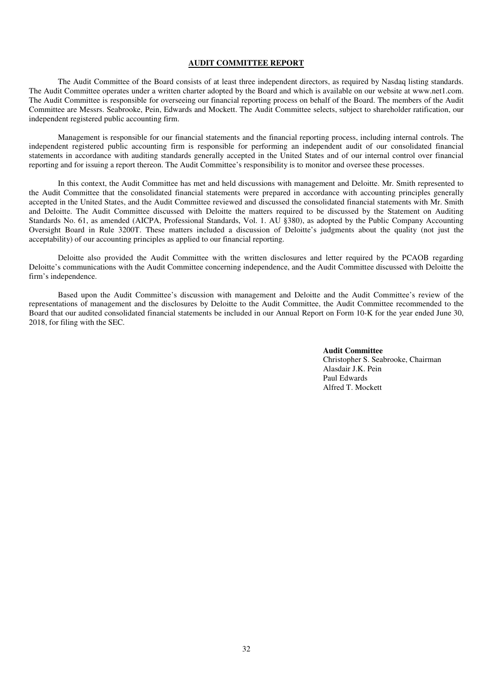### **AUDIT COMMITTEE REPORT**

The Audit Committee of the Board consists of at least three independent directors, as required by Nasdaq listing standards. The Audit Committee operates under a written charter adopted by the Board and which is available on our website at www.net1.com. The Audit Committee is responsible for overseeing our financial reporting process on behalf of the Board. The members of the Audit Committee are Messrs. Seabrooke, Pein, Edwards and Mockett. The Audit Committee selects, subject to shareholder ratification, our independent registered public accounting firm.

Management is responsible for our financial statements and the financial reporting process, including internal controls. The independent registered public accounting firm is responsible for performing an independent audit of our consolidated financial statements in accordance with auditing standards generally accepted in the United States and of our internal control over financial reporting and for issuing a report thereon. The Audit Committee's responsibility is to monitor and oversee these processes.

In this context, the Audit Committee has met and held discussions with management and Deloitte. Mr. Smith represented to the Audit Committee that the consolidated financial statements were prepared in accordance with accounting principles generally accepted in the United States, and the Audit Committee reviewed and discussed the consolidated financial statements with Mr. Smith and Deloitte. The Audit Committee discussed with Deloitte the matters required to be discussed by the Statement on Auditing Standards No. 61, as amended (AICPA, Professional Standards, Vol. 1. AU §380), as adopted by the Public Company Accounting Oversight Board in Rule 3200T. These matters included a discussion of Deloitte's judgments about the quality (not just the acceptability) of our accounting principles as applied to our financial reporting.

Deloitte also provided the Audit Committee with the written disclosures and letter required by the PCAOB regarding Deloitte's communications with the Audit Committee concerning independence, and the Audit Committee discussed with Deloitte the firm's independence.

Based upon the Audit Committee's discussion with management and Deloitte and the Audit Committee's review of the representations of management and the disclosures by Deloitte to the Audit Committee, the Audit Committee recommended to the Board that our audited consolidated financial statements be included in our Annual Report on Form 10-K for the year ended June 30, 2018, for filing with the SEC.

> **Audit Committee**  Christopher S. Seabrooke, Chairman Alasdair J.K. Pein Paul Edwards Alfred T. Mockett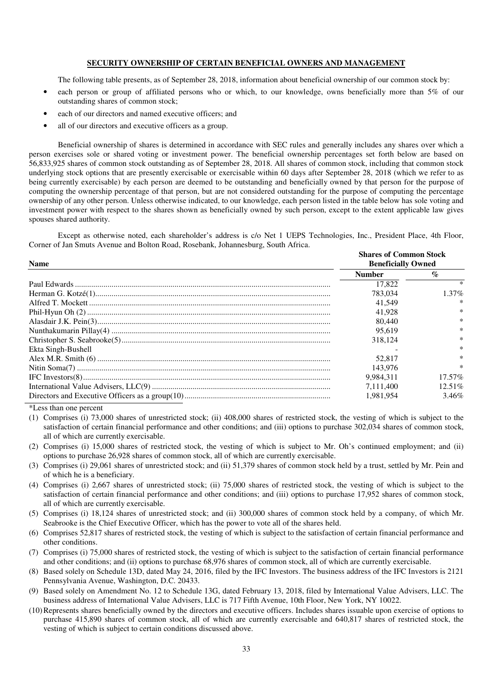# **SECURITY OWNERSHIP OF CERTAIN BENEFICIAL OWNERS AND MANAGEMENT**

The following table presents, as of September 28, 2018, information about beneficial ownership of our common stock by:

- each person or group of affiliated persons who or which, to our knowledge, owns beneficially more than 5% of our outstanding shares of common stock;
- each of our directors and named executive officers; and
- all of our directors and executive officers as a group.

Beneficial ownership of shares is determined in accordance with SEC rules and generally includes any shares over which a person exercises sole or shared voting or investment power. The beneficial ownership percentages set forth below are based on 56,833,925 shares of common stock outstanding as of September 28, 2018. All shares of common stock, including that common stock underlying stock options that are presently exercisable or exercisable within 60 days after September 28, 2018 (which we refer to as being currently exercisable) by each person are deemed to be outstanding and beneficially owned by that person for the purpose of computing the ownership percentage of that person, but are not considered outstanding for the purpose of computing the percentage ownership of any other person. Unless otherwise indicated, to our knowledge, each person listed in the table below has sole voting and investment power with respect to the shares shown as beneficially owned by such person, except to the extent applicable law gives spouses shared authority.

Except as otherwise noted, each shareholder's address is c/o Net 1 UEPS Technologies, Inc., President Place, 4th Floor, Corner of Jan Smuts Avenue and Bolton Road, Rosebank, Johannesburg, South Africa.

| <b>Name</b>        | <b>Shares of Common Stock</b><br><b>Beneficially Owned</b> |                |  |
|--------------------|------------------------------------------------------------|----------------|--|
|                    | <b>Number</b>                                              | $\mathcal{O}'$ |  |
|                    | 17.822                                                     |                |  |
|                    | 783,034                                                    | $1.37\%$       |  |
|                    | 41.549                                                     | ∗              |  |
|                    | 41.928                                                     | $\ast$         |  |
|                    | 80,440                                                     | $\ast$         |  |
|                    | 95.619                                                     | $\ast$         |  |
|                    | 318.124                                                    | $\ast$         |  |
| Ekta Singh-Bushell |                                                            |                |  |
|                    | 52,817                                                     | $\ast$         |  |
|                    | 143.976                                                    | $\ast$         |  |
|                    | 9.984.311                                                  | $17.57\%$      |  |
|                    | 7.111.400                                                  | $12.51\%$      |  |
|                    | 1.981.954                                                  | $3.46\%$       |  |

\*Less than one percent

- (1) Comprises (i) 73,000 shares of unrestricted stock; (ii) 408,000 shares of restricted stock, the vesting of which is subject to the satisfaction of certain financial performance and other conditions; and (iii) options to purchase 302,034 shares of common stock, all of which are currently exercisable.
- (2) Comprises (i) 15,000 shares of restricted stock, the vesting of which is subject to Mr. Oh's continued employment; and (ii) options to purchase 26,928 shares of common stock, all of which are currently exercisable.
- (3) Comprises (i) 29,061 shares of unrestricted stock; and (ii) 51,379 shares of common stock held by a trust, settled by Mr. Pein and of which he is a beneficiary.
- (4) Comprises (i) 2,667 shares of unrestricted stock; (ii) 75,000 shares of restricted stock, the vesting of which is subject to the satisfaction of certain financial performance and other conditions; and (iii) options to purchase 17,952 shares of common stock, all of which are currently exercisable.
- (5) Comprises (i) 18,124 shares of unrestricted stock; and (ii) 300,000 shares of common stock held by a company, of which Mr. Seabrooke is the Chief Executive Officer, which has the power to vote all of the shares held.
- (6) Comprises 52,817 shares of restricted stock, the vesting of which is subject to the satisfaction of certain financial performance and other conditions.
- (7) Comprises (i) 75,000 shares of restricted stock, the vesting of which is subject to the satisfaction of certain financial performance and other conditions; and (ii) options to purchase 68,976 shares of common stock, all of which are currently exercisable.
- (8) Based solely on Schedule 13D, dated May 24, 2016, filed by the IFC Investors. The business address of the IFC Investors is 2121 Pennsylvania Avenue, Washington, D.C. 20433.
- (9) Based solely on Amendment No. 12 to Schedule 13G, dated February 13, 2018, filed by International Value Advisers, LLC. The business address of International Value Advisers, LLC is 717 Fifth Avenue, 10th Floor, New York, NY 10022.
- (10) Represents shares beneficially owned by the directors and executive officers. Includes shares issuable upon exercise of options to purchase 415,890 shares of common stock, all of which are currently exercisable and 640,817 shares of restricted stock, the vesting of which is subject to certain conditions discussed above.